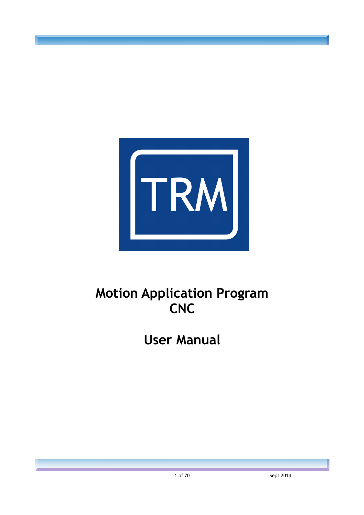

# **Motion Application Program CNC**

**User Manual**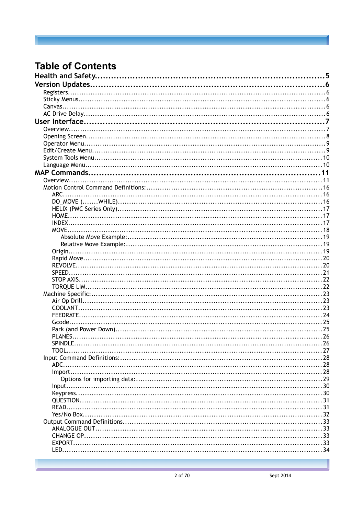# **Table of Contents**

|         | .5  |
|---------|-----|
|         |     |
|         |     |
|         |     |
|         |     |
|         |     |
|         |     |
|         |     |
|         |     |
|         |     |
|         |     |
|         |     |
|         |     |
|         |     |
|         |     |
|         |     |
| ARC.    |     |
|         |     |
|         |     |
|         |     |
|         |     |
|         |     |
| MOVE.   |     |
|         |     |
|         |     |
|         |     |
|         |     |
|         |     |
| SPEED.  |     |
|         |     |
|         |     |
|         |     |
|         |     |
|         |     |
|         |     |
| Gcode.  |     |
|         |     |
| PLANES. |     |
|         |     |
|         | .27 |
|         |     |
|         |     |
|         |     |
|         |     |
|         |     |
|         |     |
|         |     |
|         |     |
|         |     |
|         |     |
|         |     |
|         |     |
|         |     |
|         |     |
|         |     |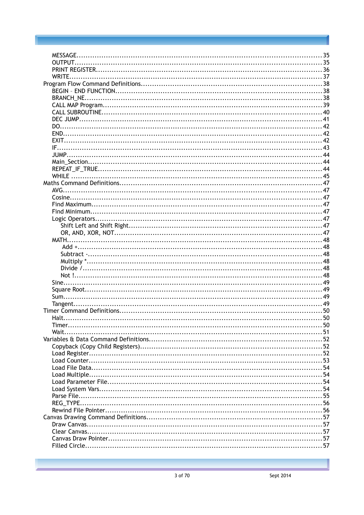| MESSAGE. |  |
|----------|--|
|          |  |
|          |  |
| WRITE    |  |
|          |  |
|          |  |
|          |  |
|          |  |
|          |  |
|          |  |
|          |  |
|          |  |
|          |  |
|          |  |
|          |  |
|          |  |
|          |  |
|          |  |
|          |  |
|          |  |
|          |  |
|          |  |
|          |  |
|          |  |
|          |  |
|          |  |
|          |  |
|          |  |
|          |  |
|          |  |
|          |  |
|          |  |
|          |  |
|          |  |
|          |  |
|          |  |
|          |  |
|          |  |
|          |  |
|          |  |
|          |  |
|          |  |
|          |  |
|          |  |
|          |  |
|          |  |
|          |  |
|          |  |
|          |  |
|          |  |
|          |  |
|          |  |
|          |  |
|          |  |
|          |  |
|          |  |
|          |  |
|          |  |
|          |  |
|          |  |
|          |  |
|          |  |
|          |  |
|          |  |
|          |  |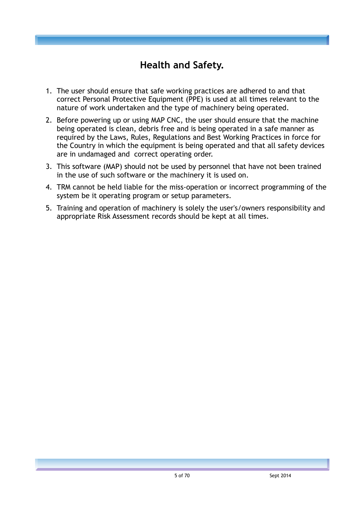# **Health and Safety.**

- 1. The user should ensure that safe working practices are adhered to and that correct Personal Protective Equipment (PPE) is used at all times relevant to the nature of work undertaken and the type of machinery being operated.
- 2. Before powering up or using MAP CNC, the user should ensure that the machine being operated is clean, debris free and is being operated in a safe manner as required by the Laws, Rules, Regulations and Best Working Practices in force for the Country in which the equipment is being operated and that all safety devices are in undamaged and correct operating order.
- 3. This software (MAP) should not be used by personnel that have not been trained in the use of such software or the machinery it is used on.
- 4. TRM cannot be held liable for the miss-operation or incorrect programming of the system be it operating program or setup parameters.
- 5. Training and operation of machinery is solely the user's/owners responsibility and appropriate Risk Assessment records should be kept at all times.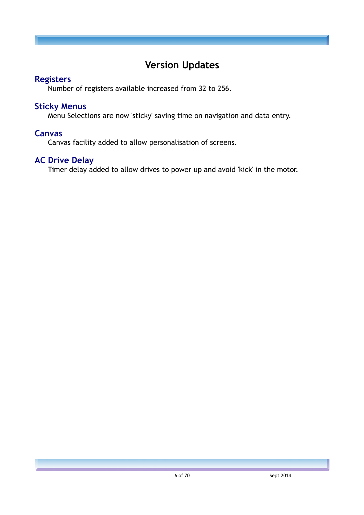# **Version Updates**

#### **Registers**

Number of registers available increased from 32 to 256.

#### **Sticky Menus**

Menu Selections are now 'sticky' saving time on navigation and data entry.

#### **Canvas**

Canvas facility added to allow personalisation of screens.

## **AC Drive Delay**

Timer delay added to allow drives to power up and avoid 'kick' in the motor.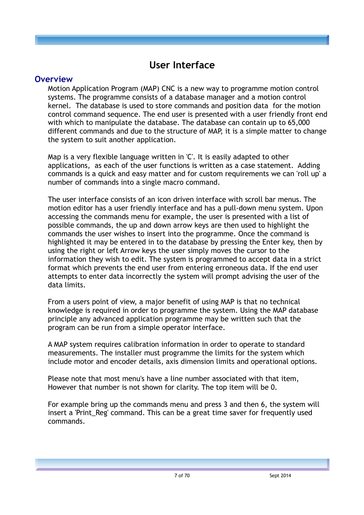# **User Interface**

#### **Overview**

Motion Application Program (MAP) CNC is a new way to programme motion control systems. The programme consists of a database manager and a motion control kernel. The database is used to store commands and position data for the motion control command sequence. The end user is presented with a user friendly front end with which to manipulate the database. The database can contain up to 65,000 different commands and due to the structure of MAP, it is a simple matter to change the system to suit another application.

Map is a very flexible language written in 'C'. It is easily adapted to other applications, as each of the user functions is written as a case statement. Adding commands is a quick and easy matter and for custom requirements we can 'roll up' a number of commands into a single macro command.

The user interface consists of an icon driven interface with scroll bar menus. The motion editor has a user friendly interface and has a pull-down menu system. Upon accessing the commands menu for example, the user is presented with a list of possible commands, the up and down arrow keys are then used to highlight the commands the user wishes to insert into the programme. Once the command is highlighted it may be entered in to the database by pressing the Enter key, then by using the right or left Arrow keys the user simply moves the cursor to the information they wish to edit. The system is programmed to accept data in a strict format which prevents the end user from entering erroneous data. If the end user attempts to enter data incorrectly the system will prompt advising the user of the data limits.

From a users point of view, a major benefit of using MAP is that no technical knowledge is required in order to programme the system. Using the MAP database principle any advanced application programme may be written such that the program can be run from a simple operator interface.

A MAP system requires calibration information in order to operate to standard measurements. The installer must programme the limits for the system which include motor and encoder details, axis dimension limits and operational options.

Please note that most menu's have a line number associated with that item, However that number is not shown for clarity. The top item will be 0.

For example bring up the commands menu and press 3 and then 6, the system will insert a 'Print Reg' command. This can be a great time saver for frequently used commands.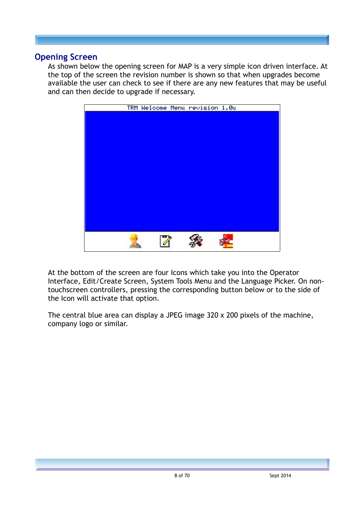#### **Opening Screen**

As shown below the opening screen for MAP is a very simple icon driven interface. At the top of the screen the revision number is shown so that when upgrades become available the user can check to see if there are any new features that may be useful and can then decide to upgrade if necessary.



At the bottom of the screen are four Icons which take you into the Operator Interface, Edit/Create Screen, System Tools Menu and the Language Picker. On nontouchscreen controllers, pressing the corresponding button below or to the side of the Icon will activate that option.

The central blue area can display a JPEG image 320 x 200 pixels of the machine, company logo or similar.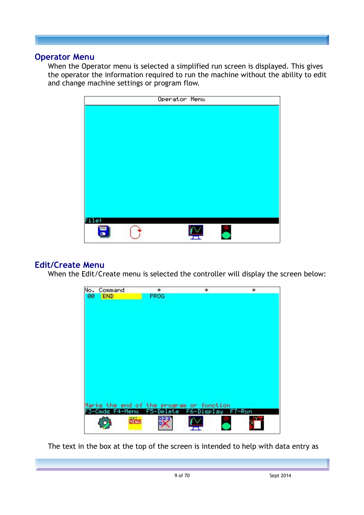#### **Operator Menu**

When the Operator menu is selected a simplified run screen is displayed. This gives the operator the information required to run the machine without the ability to edit and change machine settings or program flow.



#### **Edit/Create Menu**

When the Edit/Create menu is selected the controller will display the screen below:



The text in the box at the top of the screen is intended to help with data entry as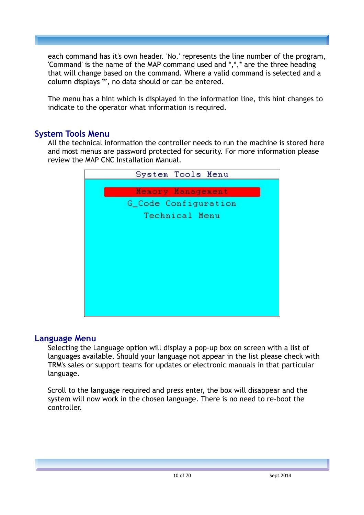each command has it's own header. 'No.' represents the line number of the program, 'Command' is the name of the MAP command used and \*,\*,\* are the three heading that will change based on the command. Where a valid command is selected and a column displays '\*', no data should or can be entered.

The menu has a hint which is displayed in the information line, this hint changes to indicate to the operator what information is required.

#### **System Tools Menu**

All the technical information the controller needs to run the machine is stored here and most menus are password protected for security. For more information please review the MAP CNC Installation Manual.



#### **Language Menu**

Selecting the Language option will display a pop-up box on screen with a list of languages available. Should your language not appear in the list please check with TRM's sales or support teams for updates or electronic manuals in that particular language.

Scroll to the language required and press enter, the box will disappear and the system will now work in the chosen language. There is no need to re-boot the controller.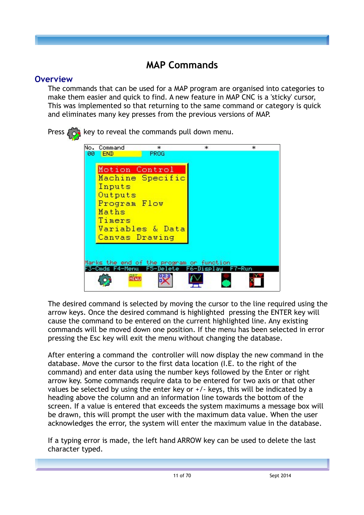# **MAP Commands**

#### **Overview**

The commands that can be used for a MAP program are organised into categories to make them easier and quick to find. A new feature in MAP CNC is a 'sticky' cursor, This was implemented so that returning to the same command or category is quick and eliminates many key presses from the previous versions of MAP.

| No. | Command        | *                                        | * | *      |
|-----|----------------|------------------------------------------|---|--------|
| 00  | <b>END</b>     | PROG                                     |   |        |
|     |                |                                          |   |        |
|     | Motion Control |                                          |   |        |
|     |                | Machine Specific                         |   |        |
|     | Inputs         |                                          |   |        |
|     | Outputs        |                                          |   |        |
|     | Program Flow   |                                          |   |        |
|     | Maths          |                                          |   |        |
|     | Timers         |                                          |   |        |
|     |                | Variables & Data                         |   |        |
|     | Canvas Drawing |                                          |   |        |
|     |                |                                          |   |        |
|     |                |                                          |   |        |
|     |                | Marks the end of the program or function |   |        |
|     |                |                                          |   | F7-Run |
|     | 4-Menu         | F5                                       |   |        |
|     | 旤              |                                          |   |        |

The desired command is selected by moving the cursor to the line required using the arrow keys. Once the desired command is highlighted pressing the ENTER key will cause the command to be entered on the current highlighted line. Any existing commands will be moved down one position. If the menu has been selected in error pressing the Esc key will exit the menu without changing the database.

After entering a command the controller will now display the new command in the database. Move the cursor to the first data location (I.E. to the right of the command) and enter data using the number keys followed by the Enter or right arrow key. Some commands require data to be entered for two axis or that other values be selected by using the enter key or  $+/-$  keys, this will be indicated by a heading above the column and an information line towards the bottom of the screen. If a value is entered that exceeds the system maximums a message box will be drawn, this will prompt the user with the maximum data value. When the user acknowledges the error, the system will enter the maximum value in the database.

If a typing error is made, the left hand ARROW key can be used to delete the last character typed.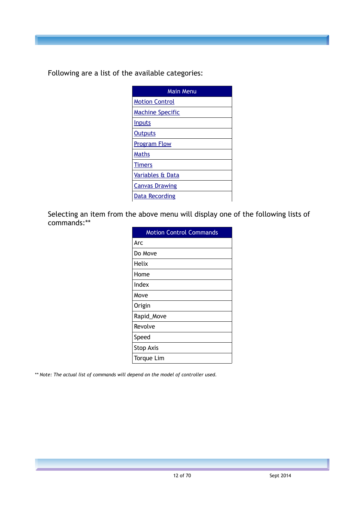Following are a list of the available categories:

| Main Menu                |
|--------------------------|
| <b>Motion Control</b>    |
| <u> Machine Specific</u> |
| <b>Inputs</b>            |
| <b>Outputs</b>           |
| <b>Program Flow</b>      |
| Maths                    |
| <b>Timers</b>            |
| Variables & Data         |
| <b>Canvas Drawing</b>    |
| <u>Data Recording</u>    |

Selecting an item from the above menu will display one of the following lists of commands:\*\*

| <b>Motion Control Commands</b> |
|--------------------------------|
| Arc                            |
| Do Move                        |
| Helix                          |
| Home                           |
| Index                          |
| Move                           |
| Origin                         |
| Rapid_Move                     |
| Revolve                        |
| Speed                          |
| <b>Stop Axis</b>               |
| <b>Torque Lim</b>              |

*\*\* Note: The actual list of commands will depend on the model of controller used.*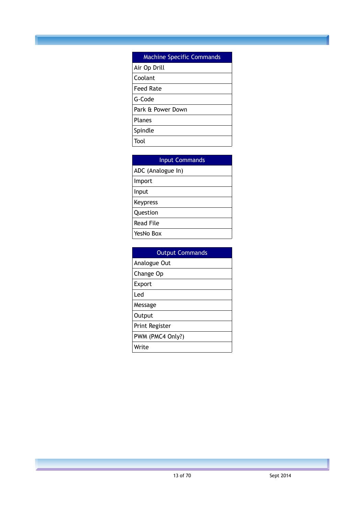#### Machine Specific Commands

| Air Op Drill      |
|-------------------|
| Coolant           |
| <b>Feed Rate</b>  |
| G-Code            |
| Park & Power Down |
| Planes            |
| Spindle           |
| Tool              |
|                   |

| <b>Input Commands</b> |
|-----------------------|
| ADC (Analogue In)     |
| Import                |
| Input                 |
| Keypress              |
| Question              |
| <b>Read File</b>      |
| YesNo Box             |

| <b>Output Commands</b> |
|------------------------|
| Analogue Out           |
| Change Op              |
| Export                 |
| Led                    |
| Message                |
| Output                 |
| Print Register         |
| PWM (PMC4 Only?)       |
| Write                  |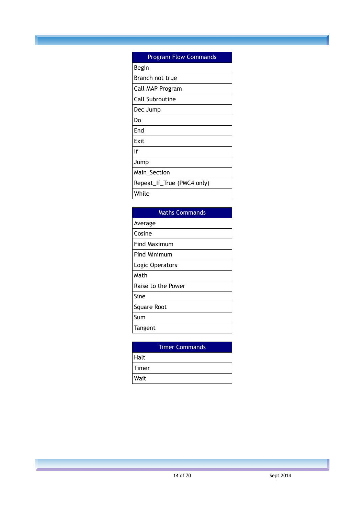| <b>Program Flow Commands</b> |
|------------------------------|
| Begin                        |
| Branch not true              |
| Call MAP Program             |
| Call Subroutine              |
| Dec Jump                     |
| Do                           |
| End                          |
| Exit                         |
| ١f                           |
| Jump                         |
| Main_Section                 |
| Repeat_If_True (PMC4 only)   |
| While                        |

| <b>Maths Commands</b> |
|-----------------------|
| Average               |
| Cosine                |
| <b>Find Maximum</b>   |
| <b>Find Minimum</b>   |
| Logic Operators       |
| Math                  |
| Raise to the Power    |
| Sine                  |
| Square Root           |
| Sum                   |
| Tangent               |

|       | <b>Timer Commands</b> |
|-------|-----------------------|
| Halt  |                       |
| Timer |                       |
| Wait  |                       |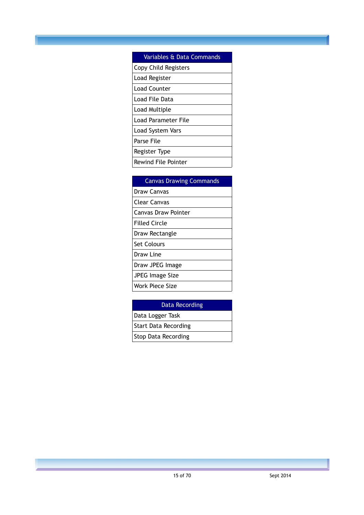## Variables & Data Commands Copy Child Registers Load Register Load Counter Load File Data Load Multiple Load Parameter File Load System Vars Parse File Register Type Rewind File Pointer

| <b>Canvas Drawing Commands</b> |
|--------------------------------|
| Draw Canvas                    |
| Clear Canvas                   |
| Canvas Draw Pointer            |
| Filled Circle                  |
| Draw Rectangle                 |
| Set Colours                    |
| Draw Line                      |
| Draw JPEG Image                |
| JPEG Image Size                |
| Work Piece Size                |

#### Data Recording

Data Logger Task Start Data Recording Stop Data Recording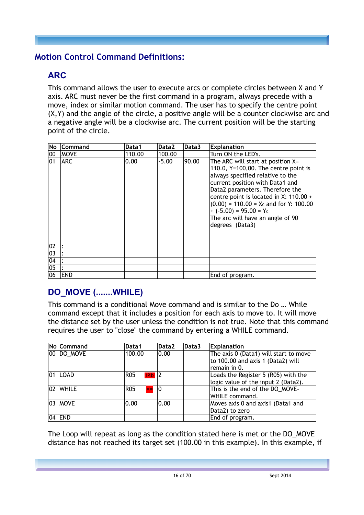## <span id="page-15-0"></span>**Motion Control Command Definitions:**

## **ARC**

This command allows the user to execute arcs or complete circles between X and Y axis. ARC must never be the first command in a program, always precede with a move, index or similar motion command. The user has to specify the centre point (X,Y) and the angle of the circle, a positive angle will be a counter clockwise arc and a negative angle will be a clockwise arc. The current position will be the starting point of the circle.

| No              | <b>Command</b> | Data1  | Data2   | Data3 | <b>Explanation</b>                                                                                                                                                                                                                                                                                                                                              |
|-----------------|----------------|--------|---------|-------|-----------------------------------------------------------------------------------------------------------------------------------------------------------------------------------------------------------------------------------------------------------------------------------------------------------------------------------------------------------------|
| 00              | <b>MOVE</b>    | 110.00 | 100.00  |       | Turn ON the LED's.                                                                                                                                                                                                                                                                                                                                              |
| 101             | <b>ARC</b>     | 0.00   | $-5.00$ | 90.00 | The ARC will start at position X=<br>110.0, $Y=100,00$ . The centre point is<br>always specified relative to the<br>current position with Data1 and<br>Data2 parameters. Therefore the<br>centre point is located in X: 110.00 +<br>$(0.00)$ = 110.00 = Xc and for Y: 100.00<br>$+ (-5.00) = 95.00 = Yc$<br>The arc will have an angle of 90<br>degrees (Data3) |
| 02              |                |        |         |       |                                                                                                                                                                                                                                                                                                                                                                 |
| 03              |                |        |         |       |                                                                                                                                                                                                                                                                                                                                                                 |
| $\overline{04}$ |                |        |         |       |                                                                                                                                                                                                                                                                                                                                                                 |
| 05              |                |        |         |       |                                                                                                                                                                                                                                                                                                                                                                 |
| 06              | <b>END</b>     |        |         |       | End of program.                                                                                                                                                                                                                                                                                                                                                 |

# **DO\_MOVE (.......WHILE)**

This command is a conditional Move command and is similar to the Do … While command except that it includes a position for each axis to move to. It will move the distance set by the user unless the condition is not true. Note that this command requires the user to "close" the command by entering a WHILE command.

|     | No Command   | Data1             | Data2 | Data3 | Explanation                           |
|-----|--------------|-------------------|-------|-------|---------------------------------------|
|     | 00 DO MOVE   | 100.00            | 0.00  |       | The axis 0 (Data1) will start to move |
|     |              |                   |       |       | to 100.00 and axis 1 (Data2) will     |
|     |              |                   |       |       | remain in 0.                          |
| 101 | LOAD         | RO5<br>IP.b       | 2     |       | Loads the Register 5 (R05) with the   |
|     |              |                   |       |       | logic value of the input 2 (Data2).   |
| 02  | <b>WHILE</b> | <b>R05</b><br>$=$ | 10    |       | This is the end of the DO_MOVE-       |
|     |              |                   |       |       | WHILE command.                        |
|     | 03  MOVE     | 0.00              | 0.00  |       | Moves axis 0 and axis1 (Data1 and     |
|     |              |                   |       |       | Data2) to zero                        |
|     | 04 END       |                   |       |       | End of program.                       |

The Loop will repeat as long as the condition stated here is met or the DO\_MOVE distance has not reached its target set (100.00 in this example). In this example, if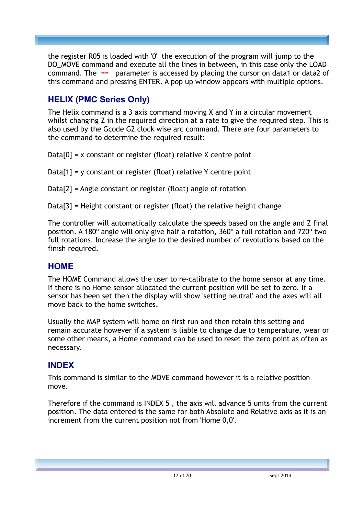the register R05 is loaded with '0' the execution of the program will jump to the DO\_MOVE command and execute all the lines in between, in this case only the LOAD command. The  $==$  parameter is accessed by placing the cursor on data1 or data2 of this command and pressing ENTER. A pop up window appears with multiple options.

## **HELIX (PMC Series Only)**

The Helix command is a 3 axis command moving X and Y in a circular movement whilst changing Z in the required direction at a rate to give the required step. This is also used by the Gcode G2 clock wise arc command. There are four parameters to the command to determine the required result:

 $Data[0] = x$  constant or register (float) relative X centre point

 $Data[1] = y$  constant or register (float) relative Y centre point

Data[2] = Angle constant or register (float) angle of rotation

Data[3] = Height constant or register (float) the relative height change

The controller will automatically calculate the speeds based on the angle and Z final position. A 180º angle will only give half a rotation, 360º a full rotation and 720º two full rotations. Increase the angle to the desired number of revolutions based on the finish required.

#### **HOME**

The HOME Command allows the user to re-calibrate to the home sensor at any time. If there is no Home sensor allocated the current position will be set to zero. If a sensor has been set then the display will show 'setting neutral' and the axes will all move back to the home switches.

Usually the MAP system will home on first run and then retain this setting and remain accurate however if a system is liable to change due to temperature, wear or some other means, a Home command can be used to reset the zero point as often as necessary.

#### **INDEX**

This command is similar to the [MOVE](#page-17-0) command however it is a relative position move.

Therefore if the command is INDEX 5 , the axis will advance 5 units from the current position. The data entered is the same for both Absolute and Relative axis as it is an increment from the current position not from 'Home 0,0'.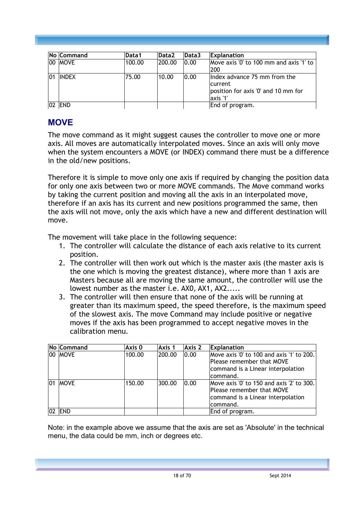| <b>No Command</b> | Data1  | Data2  | Data3 | <b>Explanation</b>                                                                          |
|-------------------|--------|--------|-------|---------------------------------------------------------------------------------------------|
| 00 MOVE           | 100.00 | 200.00 | 0.00  | Move axis '0' to 100 mm and axis '1' to<br>200                                              |
| <b>INDEX</b>      | 75.00  | 10.00  | 0.00  | lindex advance 75 mm from the<br>current<br>position for axis '0' and 10 mm for<br>axis '1' |
| <b>END</b>        |        |        |       | End of program.                                                                             |

## <span id="page-17-0"></span>**MOVE**

The move command as it might suggest causes the controller to move one or more axis. All moves are automatically interpolated moves. Since an axis will only move when the system encounters a MOVE (or INDEX) command there must be a difference in the old/new positions.

Therefore it is simple to move only one axis if required by changing the position data for only one axis between two or more MOVE commands. The Move command works by taking the current position and moving all the axis in an interpolated move, therefore if an axis has its current and new positions programmed the same, then the axis will not move, only the axis which have a new and different destination will move.

The movement will take place in the following sequence:

- 1. The controller will calculate the distance of each axis relative to its current position.
- 2. The controller will then work out which is the master axis (the master axis is the one which is moving the greatest distance), where more than 1 axis are Masters because all are moving the same amount, the controller will use the lowest number as the master i.e. AX0, AX1, AX2.....
- 3. The controller will then ensure that none of the axis will be running at greater than its maximum speed, the speed therefore, is the maximum speed of the slowest axis. The move Command may include positive or negative moves if the axis has been programmed to accept negative moves in the calibration menu.

|    | No Command  | Axis 0 | Axis 1 | Axis <sub>2</sub> | Explanation                                                                                                             |
|----|-------------|--------|--------|-------------------|-------------------------------------------------------------------------------------------------------------------------|
|    | 100   MOVE  | 100.00 | 200.00 | 0.00              | Move axis '0' to 100 and axis '1' to 200.<br>Please remember that MOVE<br>command is a Linear interpolation<br>command. |
| 01 | <b>MOVE</b> | 150.00 | 300.00 | 0.00              | Move axis '0' to 150 and axis '2' to 300.<br>Please remember that MOVE<br>command is a Linear interpolation<br>command. |
|    | <b>IEND</b> |        |        |                   | End of program.                                                                                                         |

Note: in the example above we assume that the axis are set as 'Absolute' in the technical menu, the data could be mm, inch or degrees etc.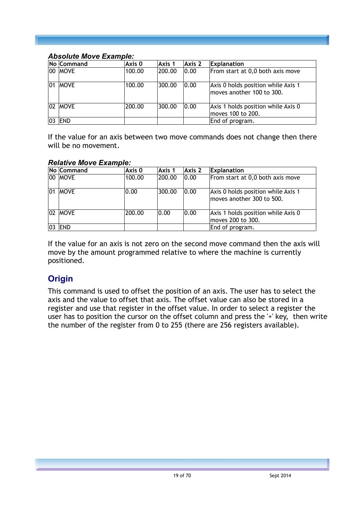#### *Absolute Move Example:*

|    | No Command  | Axis 0 | Axis 1 | Axis 2 | <b>Explanation</b>                                              |
|----|-------------|--------|--------|--------|-----------------------------------------------------------------|
|    | 00  MOVE    | 100.00 | 200.00 | 0.00   | From start at 0,0 both axis move                                |
| 01 | <b>MOVE</b> | 100.00 | 300.00 | 0.00   | Axis 0 holds position while Axis 1<br>moves another 100 to 300. |
|    | 02 MOVE     | 200.00 | 300.00 | 0.00   | Axis 1 holds position while Axis 0<br>moves 100 to 200.         |
|    | 03   END    |        |        |        | End of program.                                                 |

If the value for an axis between two move commands does not change then there will be no movement.

#### *Relative Move Example:*

|    | No Command  | Axis 0 | Axis 1 | Axis 2 | <b>Explanation</b>                                              |
|----|-------------|--------|--------|--------|-----------------------------------------------------------------|
|    | 00  MOVE    | 100.00 | 200.00 | 0.00   | From start at 0,0 both axis move                                |
| 01 | <b>MOVE</b> | 0.00   | 300.00 | 0.00   | Axis 0 holds position while Axis 1<br>moves another 300 to 500. |
|    | 02 MOVE     | 200.00 | 0.00   | 0.00   | Axis 1 holds position while Axis 0<br>moves 200 to 300.         |
|    | <b>END</b>  |        |        |        | End of program.                                                 |

If the value for an axis is not zero on the second move command then the axis will move by the amount programmed relative to where the machine is currently positioned.

#### **Origin**

This command is used to offset the position of an axis. The user has to select the axis and the value to offset that axis. The offset value can also be stored in a register and use that register in the offset value. In order to select a register the user has to position the cursor on the offset column and press the '+' key, then write the number of the register from 0 to 255 (there are 256 registers available).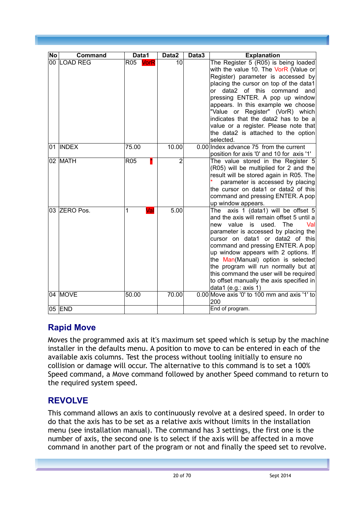| No | Command       | Data1              | Data2          | Data3 | <b>Explanation</b>                                                                                                                                                                                                                                                                                                                                                                                                                                                        |
|----|---------------|--------------------|----------------|-------|---------------------------------------------------------------------------------------------------------------------------------------------------------------------------------------------------------------------------------------------------------------------------------------------------------------------------------------------------------------------------------------------------------------------------------------------------------------------------|
|    | 00 LOAD REG   | R05<br><b>VorR</b> | 10             |       | The Register 5 (R05) is being loaded<br>with the value 10. The VorR (Value or<br>Register) parameter is accessed by<br>placing the cursor on top of the data1<br>data2 of this command<br>or<br>and<br>pressing ENTER. A pop up window<br>appears. In this example we choose<br>"Value or Register" (VorR) which<br>indicates that the data2 has to be a<br>value or a register. Please note that<br>the data2 is attached to the option<br>selected.                     |
| 01 | <b>INDEX</b>  | 75.00              | 10.00          |       | 0.00 Index advance 75 from the current<br>position for axis '0' and 10 for axis '1'                                                                                                                                                                                                                                                                                                                                                                                       |
|    | 02 MATH       | <b>R05</b>         | $\overline{2}$ |       | The value stored in the Register 5<br>(R05) will be multiplied for 2 and the<br>result will be stored again in R05. The<br>parameter is accessed by placing<br>the cursor on data1 or data2 of this<br>command and pressing ENTER. A pop<br>up window appears.                                                                                                                                                                                                            |
|    | 03 ZERO Pos.  | 1<br>Val           | 5.00           |       | The axis 1 (data1) will be offset 5<br>and the axis will remain offset 5 until a<br>used. The<br>Val<br>new value is<br>parameter is accessed by placing the<br>cursor on data1 or data2 of this<br>command and pressing ENTER. A pop<br>up window appears with 2 options. If<br>the Man(Manual) option is selected<br>the program will run normally but at<br>this command the user will be required<br>to offset manually the axis specified in<br>data1 (e.g.: axis 1) |
|    | 04 MOVE       | 50.00              | 70.00          |       | 0.00 Move axis '0' to 100 mm and axis '1' to<br>200                                                                                                                                                                                                                                                                                                                                                                                                                       |
|    | 05 <b>END</b> |                    |                |       | End of program.                                                                                                                                                                                                                                                                                                                                                                                                                                                           |

## **Rapid Move**

Moves the programmed axis at it's maximum set speed which is setup by the machine installer in the defaults menu. A position to move to can be entered in each of the available axis columns. Test the process without tooling initially to ensure no collision or damage will occur. The alternative to this command is to set a 100% Speed command, a Move command followed by another Speed command to return to the required system speed.

# **REVOLVE**

This command allows an axis to continuously revolve at a desired speed. In order to do that the axis has to be set as a relative axis without limits in the installation menu (see installation manual). The command has 3 settings, the first one is the number of axis, the second one is to select if the axis will be affected in a move command in another part of the program or not and finally the speed set to revolve.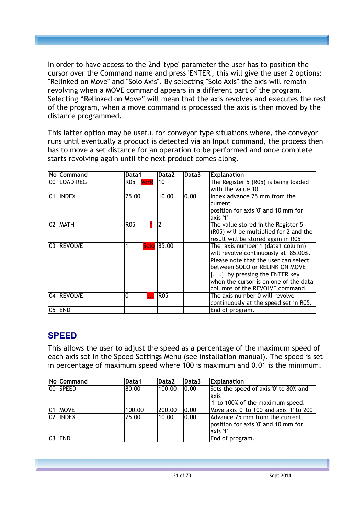In order to have access to the 2nd 'type' parameter the user has to position the cursor over the Command name and press 'ENTER', this will give the user 2 options: "Relinked on Move" and "Solo Axis". By selecting "Solo Axis" the axis will remain revolving when a MOVE command appears in a different part of the program. Selecting "Relinked on Move" will mean that the axis revolves and executes the rest of the program, when a move command is processed the axis is then moved by the distance programmed.

This latter option may be useful for conveyor type situations where, the conveyor runs until eventually a product is detected via an Input command, the process then has to move a set distance for an operation to be performed and once complete starts revolving again until the next product comes along.

|     | No Command     | Data1       | Data2      | Data3 | <b>Explanation</b>                     |
|-----|----------------|-------------|------------|-------|----------------------------------------|
|     | 00   LOAD REG  | R05<br>VorR | 10         |       | The Register 5 (R05) is being loaded   |
|     |                |             |            |       | with the value 10                      |
| 101 | INDEX          | 75.00       | 10.00      | 0.00  | Index advance 75 mm from the           |
|     |                |             |            |       | current                                |
|     |                |             |            |       | position for axis '0' and 10 mm for    |
|     |                |             |            |       | axis '1'                               |
|     | 102   MATH     | R05         | 2          |       | The value stored in the Register 5     |
|     |                |             |            |       | (R05) will be multiplied for 2 and the |
|     |                |             |            |       | result will be stored again in R05     |
| 03  | <b>REVOLVE</b> |             | Solo 85.00 |       | The axis number 1 (data1 column)       |
|     |                |             |            |       | will revolve continuously at 85.00%.   |
|     |                |             |            |       | Please note that the user can select   |
|     |                |             |            |       | between SOLO or RELINK ON MOVE         |
|     |                |             |            |       | [] by pressing the ENTER key           |
|     |                |             |            |       | when the cursor is on one of the data  |
|     |                |             |            |       | columns of the REVOLVE command.        |
|     | 04 REVOLVE     | 0           | <b>R05</b> |       | The axis number 0 will revolve         |
|     |                |             |            |       | continuously at the speed set in R05.  |
| 05  | <b>END</b>     |             |            |       | End of program.                        |

## **SPEED**

This allows the user to adjust the speed as a percentage of the maximum speed of each axis set in the Speed Settings Menu (see installation manual). The speed is set in percentage of maximum speed where 100 is maximum and 0.01 is the minimum.

|     | <b>No Command</b> | Data1  | Data2  | Data3 | <b>Explanation</b>                       |
|-----|-------------------|--------|--------|-------|------------------------------------------|
|     | 100 ISPEED        | 80.00  | 100.00 | 0.00  | Sets the speed of axis '0' to 80% and    |
|     |                   |        |        |       | laxis                                    |
|     |                   |        |        |       | "1' to 100% of the maximum speed.        |
| 101 | <b>MOVE</b>       | 100.00 | 200.00 | 0.00  | Move axis '0' to 100 and axis '1' to 200 |
|     | 102 IINDEX        | 75.00  | 10.00  | 0.00  | Advance 75 mm from the current           |
|     |                   |        |        |       | position for axis '0' and 10 mm for      |
|     |                   |        |        |       | axis '1'                                 |
|     | END               |        |        |       | End of program.                          |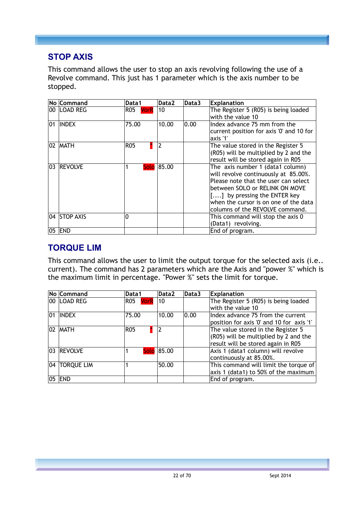#### **STOP AXIS**

This command allows the user to stop an axis revolving following the use of a Revolve command. This just has 1 parameter which is the axis number to be stopped.

|     | No Command     | Data1         | Data2      | Data3 | <b>Explanation</b>                                   |
|-----|----------------|---------------|------------|-------|------------------------------------------------------|
|     | 00 ILOAD REG   | R05 I<br>VorR | 10         |       | The Register 5 (R05) is being loaded                 |
|     |                |               |            |       | with the value 10                                    |
| 101 | <b>INDEX</b>   | 75.00         | 10.00      | 0.00  | Index advance 75 mm from the                         |
|     |                |               |            |       | current position for axis '0' and 10 for<br>axis '1' |
|     | 102   MATH     | <b>R05</b>    | 2          |       | The value stored in the Register 5                   |
|     |                |               |            |       | (R05) will be multiplied by 2 and the                |
|     |                |               |            |       | result will be stored again in R05                   |
| 03  | <b>REVOLVE</b> |               | Solo 85.00 |       | The axis number 1 (data1 column)                     |
|     |                |               |            |       | will revolve continuously at 85.00%.                 |
|     |                |               |            |       | Please note that the user can select                 |
|     |                |               |            |       | lbetween SOLO or RELINK ON MOVE                      |
|     |                |               |            |       | $[]$ by pressing the ENTER key                       |
|     |                |               |            |       | when the cursor is on one of the data                |
|     |                |               |            |       | columns of the REVOLVE command.                      |
|     | 04 ISTOP AXIS  | ი             |            |       | This command will stop the axis 0                    |
|     |                |               |            |       | (Data1) revolving.                                   |
| 05  | <b>END</b>     |               |            |       | End of program.                                      |

## **TORQUE LIM**

This command allows the user to limit the output torque for the selected axis (i.e.. current). The command has 2 parameters which are the Axis and "power %" which is the maximum limit in percentage. "Power %" sets the limit for torque.

|              | No Command        | Data1           | Data <sub>2</sub> | Data3 | <b>Explanation</b>                        |
|--------------|-------------------|-----------------|-------------------|-------|-------------------------------------------|
|              | 00 LOAD REG       | R05 VorR 10     |                   |       | The Register 5 (R05) is being loaded      |
|              |                   |                 |                   |       | with the value 10                         |
| $ 01\rangle$ | <b>INDEX</b>      | 75.00           | 10.00             | 0.00  | Index advance 75 from the current         |
|              |                   |                 |                   |       | position for axis '0' and 10 for axis '1' |
|              | 02 MATH           | R <sub>05</sub> |                   |       | The value stored in the Register 5        |
|              |                   |                 |                   |       | (R05) will be multiplied by 2 and the     |
|              |                   |                 |                   |       | result will be stored again in R05        |
|              | 03 REVOLVE        |                 | Solo 85.00        |       | Axis 1 (data1 column) will revolve        |
|              |                   |                 |                   |       | continuously at 85.00%.                   |
| 04           | <b>TORQUE LIM</b> |                 | 50.00             |       | This command will limit the torque of     |
|              |                   |                 |                   |       | axis 1 (data1) to 50% of the maximum      |
|              | 05 END            |                 |                   |       | End of program.                           |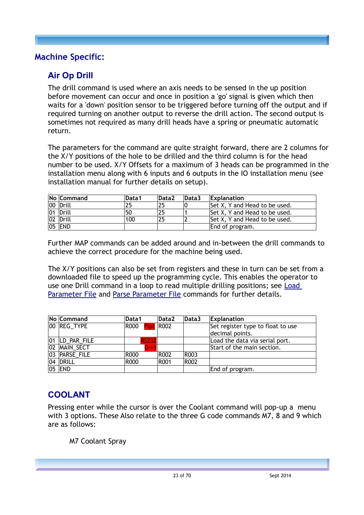#### <span id="page-22-0"></span>**Machine Specific:**

## **Air Op Drill**

The drill command is used where an axis needs to be sensed in the up position before movement can occur and once in position a 'go' signal is given which then waits for a 'down' position sensor to be triggered before turning off the output and if required turning on another output to reverse the drill action. The second output is sometimes not required as many drill heads have a spring or pneumatic automatic return.

The parameters for the command are quite straight forward, there are 2 columns for the X/Y positions of the hole to be drilled and the third column is for the head number to be used. X/Y Offsets for a maximum of 3 heads can be programmed in the installation menu along with 6 inputs and 6 outputs in the IO installation menu (see installation manual for further details on setup).

| No Command | Data1 | Data <sub>2</sub> | Data3 | <b>Explanation</b>            |
|------------|-------|-------------------|-------|-------------------------------|
| 00 Drill   | 25    | つら                |       | Set X, Y and Head to be used. |
| 01 Drill   | 50    | 25                |       | Set X, Y and Head to be used. |
| 02 Drill   | 100   | 75                |       | Set X, Y and Head to be used. |
| 05 END     |       |                   |       | End of program.               |

Further MAP commands can be added around and in-between the drill commands to achieve the correct procedure for the machine being used.

The X/Y positions can also be set from registers and these in turn can be set from a downloaded file to speed up the programming cycle. This enables the operator to use one Drill command in a loop to read multiple drilling positions; see [Load](#page-53-0)  [Parameter File](#page-53-0) and [Parse Parameter File](#page-54-0) commands for further details.

| No Command     | Data1                 | Data <sub>2</sub> | Data3       | <b>Explanation</b>                |
|----------------|-----------------------|-------------------|-------------|-----------------------------------|
| 00 REG_TYPE    | R000 <b>Flpt</b> R002 |                   |             | Set register type to float to use |
|                |                       |                   |             | decimal points.                   |
| 01 LD_PAR_FILE | <b>RS232</b>          |                   |             | Load the data via serial port.    |
| 02 MAIN SECT   | 0->1                  |                   |             | Start of the main section.        |
| 03 PARSE FILE  | R000                  | R <sub>002</sub>  | R003        |                                   |
| $ 04 $ Drill   | R000                  | R <sub>001</sub>  | <b>R002</b> |                                   |
| 05 END         |                       |                   |             | End of program.                   |

## **COOLANT**

Pressing enter while the cursor is over the Coolant command will pop-up a menu with 3 options. These Also relate to the three G code commands M7, 8 and 9 which are as follows:

M7 Coolant Spray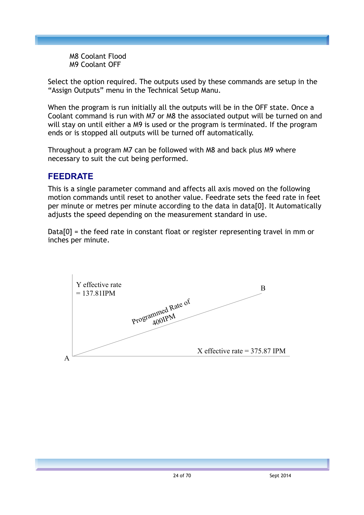M8 Coolant Flood M9 Coolant OFF

Select the option required. The outputs used by these commands are setup in the "Assign Outputs" menu in the Technical Setup Manu.

When the program is run initially all the outputs will be in the OFF state. Once a Coolant command is run with M7 or M8 the associated output will be turned on and will stay on until either a M9 is used or the program is terminated. If the program ends or is stopped all outputs will be turned off automatically.

Throughout a program M7 can be followed with M8 and back plus M9 where necessary to suit the cut being performed.

#### **FEEDRATE**

This is a single parameter command and affects all axis moved on the following motion commands until reset to another value. Feedrate sets the feed rate in feet per minute or metres per minute according to the data in data[0]. It Automatically adiusts the speed depending on the measurement standard in use.

Data[0] = the feed rate in constant float or register representing travel in mm or inches per minute.

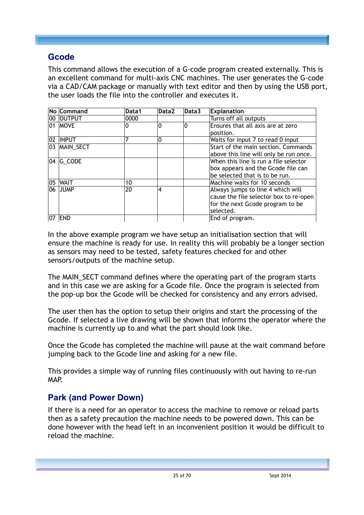#### **Gcode**

This command allows the execution of a G-code program created externally. This is an excellent command for multi-axis CNC machines. The user generates the G-code via a CAD/CAM package or manually with text editor and then by using the USB port, the user loads the file into the controller and executes it.

|     | <b>No Command</b> | Data1 | Data2          | Data3 | <b>Explanation</b>                     |
|-----|-------------------|-------|----------------|-------|----------------------------------------|
|     | 00 OUTPUT         | 0000  |                |       | Turns off all outputs                  |
|     | 01 MOVE           | 0     | l0             | 10    | Ensures that all axis are at zero      |
|     |                   |       |                |       | position.                              |
|     | <b>02 INPUT</b>   |       | 0              |       | Waits for input 7 to read 0 input      |
|     | 03 MAIN_SECT      |       |                |       | Start of the main section. Commands    |
|     |                   |       |                |       | above this line will only be run once. |
|     | $ 04 $ G CODE     |       |                |       | When this line is run a file selector  |
|     |                   |       |                |       | box appears and the Gcode file can     |
|     |                   |       |                |       | be selected that is to be run.         |
|     | <b>05 WAIT</b>    | 10    |                |       | Machine waits for 10 seconds           |
| 06  | <b>JUMP</b>       | 20    | $\overline{4}$ |       | Always jumps to line 4 which will      |
|     |                   |       |                |       | cause the file selector box to re-open |
|     |                   |       |                |       | for the next Gcode program to be       |
|     |                   |       |                |       | selected.                              |
| 107 | <b>END</b>        |       |                |       | End of program.                        |

In the above example program we have setup an initialisation section that will ensure the machine is ready for use. In reality this will probably be a longer section as sensors may need to be tested, safety features checked for and other sensors/outputs of the machine setup.

The MAIN\_SECT command defines where the operating part of the program starts and in this case we are asking for a Gcode file. Once the program is selected from the pop-up box the Gcode will be checked for consistency and any errors advised.

The user then has the option to setup their origins and start the processing of the Gcode. If selected a live drawing will be shown that informs the operator where the machine is currently up to and what the part should look like.

Once the Gcode has completed the machine will pause at the wait command before jumping back to the Gcode line and asking for a new file.

This provides a simple way of running files continuously with out having to re-run MAP.

## **Park (and Power Down)**

If there is a need for an operator to access the machine to remove or reload parts then as a safety precaution the machine needs to be powered down. This can be done however with the head left in an inconvenient position it would be difficult to reload the machine.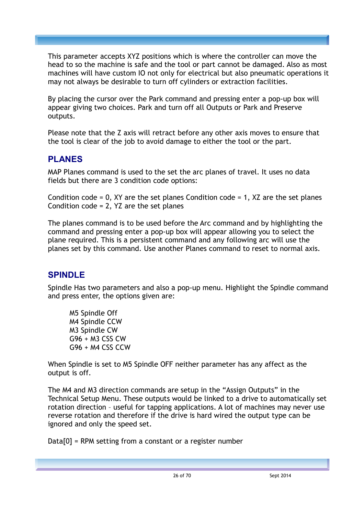This parameter accepts XYZ positions which is where the controller can move the head to so the machine is safe and the tool or part cannot be damaged. Also as most machines will have custom IO not only for electrical but also pneumatic operations it may not always be desirable to turn off cylinders or extraction facilities.

By placing the cursor over the Park command and pressing enter a pop-up box will appear giving two choices. Park and turn off all Outputs or Park and Preserve outputs.

Please note that the Z axis will retract before any other axis moves to ensure that the tool is clear of the job to avoid damage to either the tool or the part.

#### **PLANES**

MAP Planes command is used to the set the arc planes of travel. It uses no data fields but there are 3 condition code options:

Condition code  $= 0$ , XY are the set planes Condition code  $= 1$ , XZ are the set planes Condition code  $= 2$ , YZ are the set planes

The planes command is to be used before the Arc command and by highlighting the command and pressing enter a pop-up box will appear allowing you to select the plane required. This is a persistent command and any following arc will use the planes set by this command. Use another Planes command to reset to normal axis.

## **SPINDLE**

Spindle Has two parameters and also a pop-up menu. Highlight the Spindle command and press enter, the options given are:

M5 Spindle Off M4 Spindle CCW M3 Spindle CW G96 + M3 CSS CW G96 + M4 CSS CCW

When Spindle is set to M5 Spindle OFF neither parameter has any affect as the output is off.

The M4 and M3 direction commands are setup in the "Assign Outputs" in the Technical Setup Menu. These outputs would be linked to a drive to automatically set rotation direction – useful for tapping applications. A lot of machines may never use reverse rotation and therefore if the drive is hard wired the output type can be ignored and only the speed set.

 $Data[0] = RPM$  setting from a constant or a register number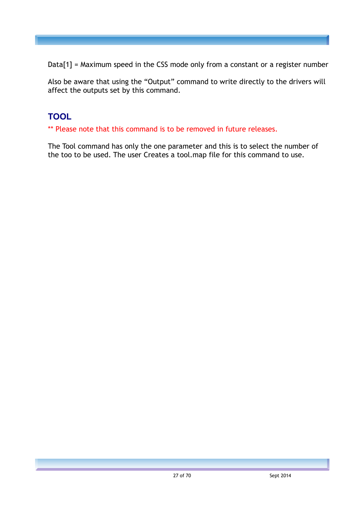Data[1] = Maximum speed in the CSS mode only from a constant or a register number

Also be aware that using the "Output" command to write directly to the drivers will affect the outputs set by this command.

## **TOOL**

\*\* Please note that this command is to be removed in future releases.

The Tool command has only the one parameter and this is to select the number of the too to be used. The user Creates a tool.map file for this command to use.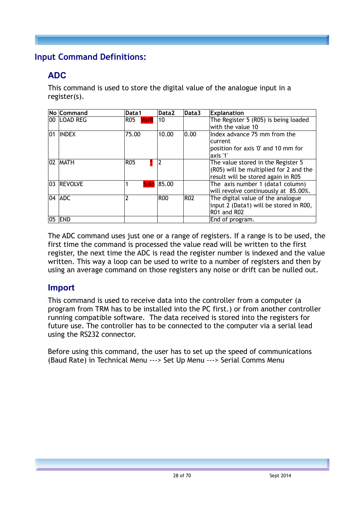## <span id="page-27-0"></span>**Input Command Definitions:**

## **ADC**

This command is used to store the digital value of the analogue input in a register(s).

|     | No Command    | Data1                     | Data2      | Data3      | <b>Explanation</b>                     |
|-----|---------------|---------------------------|------------|------------|----------------------------------------|
|     | 00 ILOAD REG  | <b>R05</b><br><b>VorR</b> | 10         |            | The Register 5 (R05) is being loaded   |
|     |               |                           |            |            | with the value 10                      |
| 101 | <b>INDEX</b>  | 75.00                     | 10.00      | 0.00       | Index advance 75 mm from the           |
|     |               |                           |            |            | current                                |
|     |               |                           |            |            | position for axis '0' and 10 mm for    |
|     |               |                           |            |            | laxis '1'                              |
|     | 02 MATH       | <b>R05</b>                | 2          |            | The value stored in the Register 5     |
|     |               |                           |            |            | (R05) will be multiplied for 2 and the |
|     |               |                           |            |            | result will be stored again in R05     |
|     | 03 REVOLVE    |                           | Solo 85.00 |            | The axis number 1 (data1 column)       |
|     |               |                           |            |            | will revolve continuously at 85.00%.   |
|     | $ 04 $ ADC    | 2                         | <b>R00</b> | <b>R02</b> | The digital value of the analogue      |
|     |               |                           |            |            | input 2 (Data1) will be stored in R00, |
|     |               |                           |            |            | R01 and R02                            |
|     | <b>05 END</b> |                           |            |            | End of program.                        |

The ADC command uses just one or a range of registers. If a range is to be used, the first time the command is processed the value read will be written to the first register, the next time the ADC is read the register number is indexed and the value written. This way a loop can be used to write to a number of registers and then by using an average command on those registers any noise or drift can be nulled out.

#### **Import**

This command is used to receive data into the controller from a computer (a program from TRM has to be installed into the PC first.) or from another controller running compatible software. The data received is stored into the registers for future use. The controller has to be connected to the computer via a serial lead using the RS232 connector.

Before using this command, the user has to set up the speed of communications (Baud Rate) in Technical Menu ---> Set Up Menu ---> Serial Comms Menu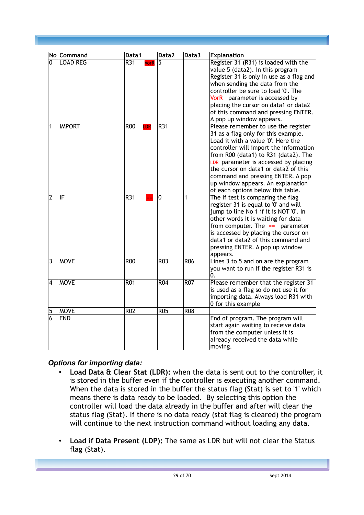|                | No Command      | Data 1                          | Data2           | Data3            | <b>Explanation</b>                           |
|----------------|-----------------|---------------------------------|-----------------|------------------|----------------------------------------------|
| 0              | <b>LOAD REG</b> | $\overline{R31}$<br><b>VorR</b> | 5               |                  | Register 31 (R31) is loaded with the         |
|                |                 |                                 |                 |                  | value 5 (data2). In this program             |
|                |                 |                                 |                 |                  | Register 31 is only in use as a flag and     |
|                |                 |                                 |                 |                  | when sending the data from the               |
|                |                 |                                 |                 |                  | controller be sure to load '0'. The          |
|                |                 |                                 |                 |                  | VorR parameter is accessed by                |
|                |                 |                                 |                 |                  | placing the cursor on data1 or data2         |
|                |                 |                                 |                 |                  | of this command and pressing ENTER.          |
|                |                 |                                 |                 |                  | A pop up window appears.                     |
| 1              | <b>IMPORT</b>   | <b>R00</b><br>LDR               | R31             |                  | Please remember to use the register          |
|                |                 |                                 |                 |                  | 31 as a flag only for this example.          |
|                |                 |                                 |                 |                  | Load it with a value '0'. Here the           |
|                |                 |                                 |                 |                  | controller will import the information       |
|                |                 |                                 |                 |                  | from R00 (data1) to R31 (data2). The         |
|                |                 |                                 |                 |                  | LDR parameter is accessed by placing         |
|                |                 |                                 |                 |                  | the cursor on data1 or data2 of this         |
|                |                 |                                 |                 |                  | command and pressing ENTER. A pop            |
|                |                 |                                 |                 |                  | up window appears. An explanation            |
|                |                 |                                 |                 |                  | of each options below this table.            |
| $\overline{2}$ | IF              | R31                             | $\mathbf 0$     | 1                | The If test is comparing the flag            |
|                |                 |                                 |                 |                  | register 31 is equal to '0' and will         |
|                |                 |                                 |                 |                  | jump to line No 1 if it is NOT '0'. In       |
|                |                 |                                 |                 |                  | other words it is waiting for data           |
|                |                 |                                 |                 |                  | from computer. The $==$ parameter            |
|                |                 |                                 |                 |                  | is accessed by placing the cursor on         |
|                |                 |                                 |                 |                  | data1 or data2 of this command and           |
|                |                 |                                 |                 |                  | pressing ENTER. A pop up window              |
|                |                 |                                 | R <sub>03</sub> | $\overline{RO6}$ | appears.                                     |
| 3              | <b>MOVE</b>     | $\overline{ROO}$                |                 |                  | Lines 3 to 5 and on are the program          |
|                |                 |                                 |                 |                  | you want to run if the register R31 is<br>0. |
| 4              | <b>MOVE</b>     | <b>R01</b>                      | <b>R04</b>      | <b>R07</b>       | Please remember that the register 31         |
|                |                 |                                 |                 |                  | is used as a flag so do not use it for       |
|                |                 |                                 |                 |                  | importing data. Always load R31 with         |
|                |                 |                                 |                 |                  | 0 for this example                           |
| 5              | <b>MOVE</b>     | $\overline{RO2}$                | R05             | R <sub>08</sub>  |                                              |
| 6              | <b>END</b>      |                                 |                 |                  | End of program. The program will             |
|                |                 |                                 |                 |                  | start again waiting to receive data          |
|                |                 |                                 |                 |                  | from the computer unless it is               |
|                |                 |                                 |                 |                  | already received the data while              |
|                |                 |                                 |                 |                  | moving.                                      |

#### *Options for importing data:*

- **Load Data & Clear Stat (LDR):** when the data is sent out to the controller, it is stored in the buffer even if the controller is executing another command. When the data is stored in the buffer the status flag (Stat) is set to '1' which means there is data ready to be loaded. By selecting this option the controller will load the data already in the buffer and after will clear the status flag (Stat). If there is no data ready (stat flag is cleared) the program will continue to the next instruction command without loading any data.
- **Load if Data Present (LDP):** The same as LDR but will not clear the Status flag (Stat).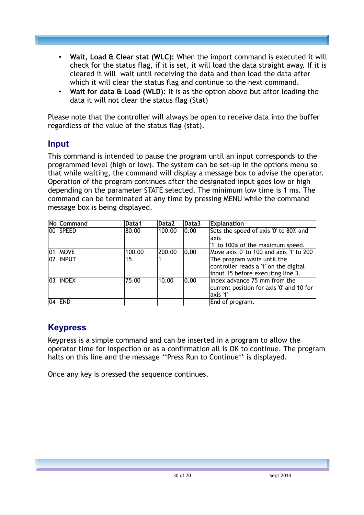- **Wait, Load & Clear stat (WLC):** When the import command is executed it will check for the status flag, if it is set, it will load the data straight away. If it is cleared it will wait until receiving the data and then load the data after which it will clear the status flag and continue to the next command.
- **Wait for data & Load (WLD):** It is as the option above but after loading the data it will not clear the status flag (Stat)

Please note that the controller will always be open to receive data into the buffer regardless of the value of the status flag (stat).

#### **Input**

This command is intended to pause the program until an input corresponds to the programmed level (high or low). The system can be set-up In the options menu so that while waiting, the command will display a message box to advise the operator. Operation of the program continues after the designated input goes low or high depending on the parameter STATE selected. The minimum low time is 1 ms. The command can be terminated at any time by pressing MENU while the command message box is being displayed.

|              | No Command  | Data1  | Data2  | Data3 | <b>Explanation</b>                       |
|--------------|-------------|--------|--------|-------|------------------------------------------|
|              | 00 SPEED    | 80.00  | 100.00 | 0.00  | Sets the speed of axis '0' to 80% and    |
|              |             |        |        |       | laxis                                    |
|              |             |        |        |       | '1' to 100% of the maximum speed.        |
| 101          | <b>MOVE</b> | 100.00 | 200.00 | 0.00  | Move axis '0' to 100 and axis '1' to 200 |
|              | 02 INPUT    | 15     |        |       | The program waits until the              |
|              |             |        |        |       | controller reads a '1' on the digital    |
|              |             |        |        |       | input 15 before executing line 3.        |
| $ 03\rangle$ | INDEX       | 75.00  | 10.00  | 0.00  | Index advance 75 mm from the             |
|              |             |        |        |       | current position for axis '0' and 10 for |
|              |             |        |        |       | axis '1'                                 |
|              | 04   END    |        |        |       | End of program.                          |

#### **Keypress**

Keypress is a simple command and can be inserted in a program to allow the operator time for inspection or as a confirmation all is OK to continue. The program halts on this line and the message \*\*Press Run to Continue\*\* is displayed.

Once any key is pressed the sequence continues.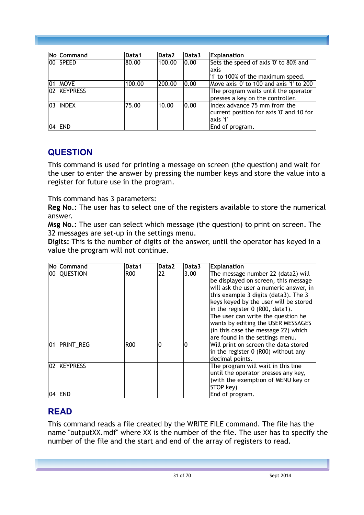|    | No Command      | Data1  | Data2  | Data3 | <b>Explanation</b>                       |
|----|-----------------|--------|--------|-------|------------------------------------------|
| 00 | <b>SPEED</b>    | 80.00  | 100.00 | 0.00  | Sets the speed of axis '0' to 80% and    |
|    |                 |        |        |       | laxis                                    |
|    |                 |        |        |       | '1' to 100% of the maximum speed.        |
| 01 | <b>MOVE</b>     | 100.00 | 200.00 | 0.00  | Move axis '0' to 100 and axis '1' to 200 |
| 02 | <b>KEYPRESS</b> |        |        |       | The program waits until the operator     |
|    |                 |        |        |       | presses a key on the controller.         |
| 03 | <b>INDEX</b>    | 75.00  | 10.00  | 0.00  | Index advance 75 mm from the             |
|    |                 |        |        |       | current position for axis '0' and 10 for |
|    |                 |        |        |       | axis '1'                                 |
|    | <b>END</b>      |        |        |       | End of program.                          |

#### **QUESTION**

This command is used for printing a message on screen (the question) and wait for the user to enter the answer by pressing the number keys and store the value into a register for future use in the program.

This command has 3 parameters:

**Reg No.:** The user has to select one of the registers available to store the numerical answer.

**Msg No.:** The user can select which message (the question) to print on screen. The 32 messages are set-up in the settings menu.

**Digits:** This is the number of digits of the answer, until the operator has keyed in a value the program will not continue.

|    | No Command       | Data1      | Data2 | Data3 | <b>Explanation</b>                     |
|----|------------------|------------|-------|-------|----------------------------------------|
|    | 00 QUESTION      | <b>R00</b> | 22    | 3.00  | The message number 22 (data2) will     |
|    |                  |            |       |       | be displayed on screen, this message   |
|    |                  |            |       |       | will ask the user a numeric answer, in |
|    |                  |            |       |       | this example 3 digits (data3). The 3   |
|    |                  |            |       |       | keys keyed by the user will be stored  |
|    |                  |            |       |       | in the register 0 (R00, data1).        |
|    |                  |            |       |       | The user can write the question he     |
|    |                  |            |       |       | wants by editing the USER MESSAGES     |
|    |                  |            |       |       | (in this case the message 22) which    |
|    |                  |            |       |       | are found in the settings menu.        |
| 01 | <b>PRINT_REG</b> | <b>R00</b> | 0     | 10    | Will print on screen the data stored   |
|    |                  |            |       |       | in the register 0 (R00) without any    |
|    |                  |            |       |       | decimal points.                        |
|    | 02 KEYPRESS      |            |       |       | The program will wait in this line     |
|    |                  |            |       |       | until the operator presses any key,    |
|    |                  |            |       |       | (with the exemption of MENU key or     |
|    |                  |            |       |       | STOP key)                              |
|    | 04   END         |            |       |       | End of program.                        |

#### **READ**

This command reads a file created by the WRITE FILE command. The file has the name "outputXX.mdf" where XX is the number of the file. The user has to specify the number of the file and the start and end of the array of registers to read.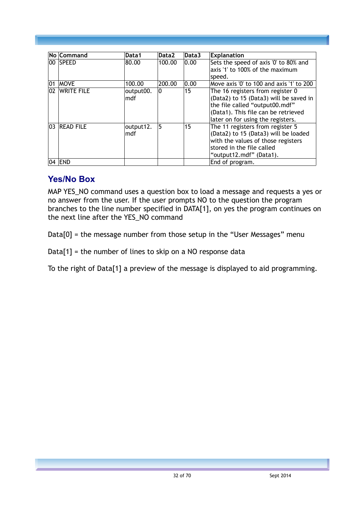|    | No Command   | Data1            | Data2  | Data3 | <b>Explanation</b>                                                                                                                                                                       |
|----|--------------|------------------|--------|-------|------------------------------------------------------------------------------------------------------------------------------------------------------------------------------------------|
|    | 100 ISPEED   | 80.00            | 100.00 | 0.00  | Sets the speed of axis '0' to 80% and<br>axis '1' to 100% of the maximum<br>speed.                                                                                                       |
| 01 | <b>MOVE</b>  | 100.00           | 200.00 | 0.00  | Move axis '0' to 100 and axis '1' to 200                                                                                                                                                 |
| 02 | WRITE FILE   | output00.<br>mdf | ۱O     | 15    | The 16 registers from register 0<br>(Data2) to 15 (Data3) will be saved in<br>the file called "output00.mdf"<br>(Data1). This file can be retrieved<br>later on for using the registers. |
|    | 03 READ FILE | output12.<br>mdf | 5      | 15    | The 11 registers from register 5<br>(Data2) to 15 (Data3) will be loaded<br>with the values of those registers<br>stored in the file called<br>"output12.mdf" (Data1).                   |
|    | 04 END       |                  |        |       | End of program.                                                                                                                                                                          |

#### **Yes/No Box**

MAP YES\_NO command uses a question box to load a message and requests a yes or no answer from the user. If the user prompts NO to the question the program branches to the line number specified in DATA[1], on yes the program continues on the next line after the YES\_NO command

 $Data[0] =$  the message number from those setup in the "User Messages" menu

 $Data[1] =$  the number of lines to skip on a NO response data

To the right of Data[1] a preview of the message is displayed to aid programming.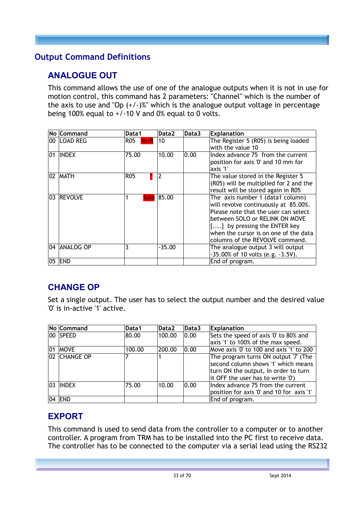## <span id="page-32-0"></span>**Output Command Definitions**

# **ANALOGUE OUT**

This command allows the use of one of the analogue outputs when it is not in use for motion control, this command has 2 parameters: "Channel" which is the number of the axis to use and "Op  $(+/-)$ %" which is the analogue output voltage in percentage being 100% equal to  $+/-10$  V and 0% equal to 0 volts.

|       | No Command       | Data1              | Data2      | Data3 | <b>Explanation</b>                      |
|-------|------------------|--------------------|------------|-------|-----------------------------------------|
|       | 00 LOAD REG      | <b>R05</b><br>VorR | 10         |       | The Register 5 (R05) is being loaded    |
|       |                  |                    |            |       | with the value 10                       |
| 101   | <b>INDEX</b>     | 75.00              | 10.00      | 0.00  | Index advance 75 from the current       |
|       |                  |                    |            |       | position for axis '0' and 10 mm for     |
|       |                  |                    |            |       | axis '1'                                |
|       | 102   MATH       | R05                | 2          |       | The value stored in the Register 5      |
|       |                  |                    |            |       | (R05) will be multiplied for 2 and the  |
|       |                  |                    |            |       | result will be stored again in R05      |
| 03    | <b>REVOLVE</b>   |                    | Solo 85.00 |       | The axis number 1 (data1 column)        |
|       |                  |                    |            |       | will revolve continuously at 85.00%.    |
|       |                  |                    |            |       | Please note that the user can select    |
|       |                  |                    |            |       | between SOLO or RELINK ON MOVE          |
|       |                  |                    |            |       | [] by pressing the ENTER key            |
|       |                  |                    |            |       | when the cursor is on one of the data   |
|       |                  |                    |            |       | columns of the REVOLVE command.         |
| 104 I | <b>ANALOG OP</b> | 3                  | $-35.00$   |       | The analogue output 3 will output       |
|       |                  |                    |            |       | $-35.00\%$ of 10 volts (e.g. $-3.5V$ ). |
| 05    | <b>END</b>       |                    |            |       | End of program.                         |

# **CHANGE OP**

Set a single output. The user has to select the output number and the desired value '0' is in-active '1' active.

|     | No Command   | Data1  | Data2  | Data3 | <b>Explanation</b>                        |
|-----|--------------|--------|--------|-------|-------------------------------------------|
|     | 100 SPEED    | 80.00  | 100.00 | 0.00  | Sets the speed of axis '0' to 80% and     |
|     |              |        |        |       | axis '1' to 100% of the max speed.        |
| 101 | <b>MOVE</b>  | 100.00 | 200.00 | 0.00  | Move axis '0' to 100 and axis '1' to 200  |
|     | 02 CHANGE OP |        |        |       | The program turns ON output '7' (The      |
|     |              |        |        |       | second column shows '1' which means       |
|     |              |        |        |       | turn ON the output, In order to turn      |
|     |              |        |        |       | it OFF the user has to write '0')         |
|     | 103 IINDEX   | 75.00  | 10.00  | 0.00  | Index advance 75 from the current         |
|     |              |        |        |       | position for axis '0' and 10 for axis '1' |
|     | $ 04 $ END   |        |        |       | End of program.                           |

## **EXPORT**

This command is used to send data from the controller to a computer or to another controller. A program from TRM has to be installed into the PC first to receive data. The controller has to be connected to the computer via a serial lead using the RS232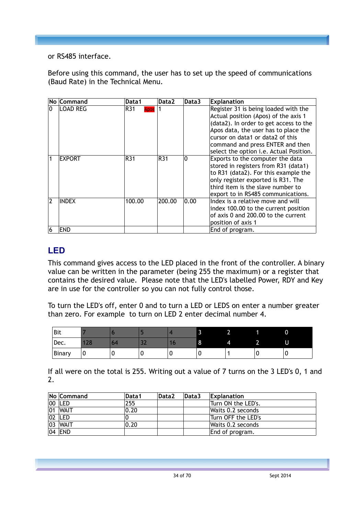or RS485 interface.

Before using this command, the user has to set up the speed of communications (Baud Rate) in the Technical Menu.

|                | No Command      | Data1              | Data2  | Data3 | <b>Explanation</b>                      |
|----------------|-----------------|--------------------|--------|-------|-----------------------------------------|
| l0             | <b>LOAD REG</b> | R31<br><b>Apos</b> |        |       | Register 31 is being loaded with the    |
|                |                 |                    |        |       | Actual position (Apos) of the axis 1    |
|                |                 |                    |        |       | (data2). In order to get access to the  |
|                |                 |                    |        |       | Apos data, the user has to place the    |
|                |                 |                    |        |       | cursor on data1 or data2 of this        |
|                |                 |                    |        |       | command and press ENTER and then        |
|                |                 |                    |        |       | select the option i.e. Actual Position. |
|                | <b>EXPORT</b>   | R31                | R31    | ۱O    | Exports to the computer the data        |
|                |                 |                    |        |       | stored in registers from R31 (data1)    |
|                |                 |                    |        |       | to R31 (data2). For this example the    |
|                |                 |                    |        |       | only register exported is R31. The      |
|                |                 |                    |        |       | third item is the slave number to       |
|                |                 |                    |        |       | export to in RS485 communications.      |
| $\overline{2}$ | <b>INDEX</b>    | 100.00             | 200.00 | 0.00  | Index is a relative move and will       |
|                |                 |                    |        |       | index 100.00 to the current position    |
|                |                 |                    |        |       | of axis 0 and 200.00 to the current     |
|                |                 |                    |        |       | position of axis 1                      |
| 6              | <b>END</b>      |                    |        |       | End of program.                         |

#### **LED**

This command gives access to the LED placed in the front of the controller. A binary value can be written in the parameter (being 255 the maximum) or a register that contains the desired value. Please note that the LED's labelled Power, RDY and Key are in use for the controller so you can not fully control those.

To turn the LED's off, enter 0 and to turn a LED or LEDS on enter a number greater than zero. For example to turn on LED 2 enter decimal number 4.

| Bit    |                    |    |   |   | _ |          | 0 |
|--------|--------------------|----|---|---|---|----------|---|
| Dec.   | $\mathbf{Q}$<br>-- | פר |   | ◡ |   | ÷<br>. . | U |
| Binary | C                  |    | u | C |   |          |   |

If all were on the total is 255. Writing out a value of 7 turns on the 3 LED's 0, 1 and 2.

| No Command  | Data1 | Data2 | Data3 | <b>Explanation</b> |
|-------------|-------|-------|-------|--------------------|
| 00  LED     | 255   |       |       | Turn ON the LED's. |
| $ 01 $ WAIT | 0.20  |       |       | Waits 0.2 seconds  |
| $ 02 $ LED  |       |       |       | Turn OFF the LED's |
| 03 WAIT     | 0.20  |       |       | Waits 0.2 seconds  |
| 04   END    |       |       |       | End of program.    |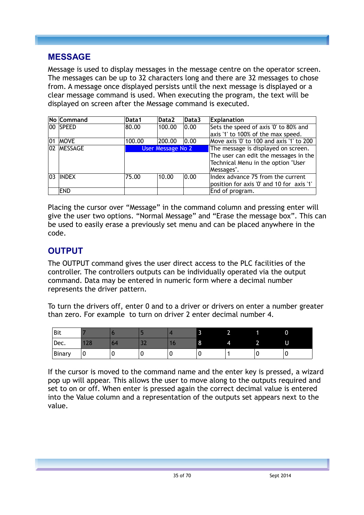#### **MESSAGE**

Message is used to display messages in the message centre on the operator screen. The messages can be up to 32 characters long and there are 32 messages to chose from. A message once displayed persists until the next message is displayed or a clear message command is used. When executing the program, the text will be displayed on screen after the Message command is executed.

|              | No Command   | Data1  | Data2                    | Data3 | Explanation                               |
|--------------|--------------|--------|--------------------------|-------|-------------------------------------------|
|              | 00 SPEED     | 80.00  | 100.00                   | 0.00  | Sets the speed of axis '0' to 80% and     |
|              |              |        |                          |       | axis '1' to 100% of the max speed.        |
| 01           | <b>MOVE</b>  | 100.00 | 200.00                   | 0.00  | Move axis '0' to 100 and axis '1' to 200  |
|              | 02 MESSAGE   |        | <b>User Message No 2</b> |       | The message is displayed on screen.       |
|              |              |        |                          |       | The user can edit the messages in the     |
|              |              |        |                          |       | Technical Menu in the option "User        |
|              |              |        |                          |       | Messages".                                |
| $ 03\rangle$ | <b>INDEX</b> | 75.00  | 10.00                    | 0.00  | Index advance 75 from the current         |
|              |              |        |                          |       | position for axis '0' and 10 for axis '1' |
|              | <b>END</b>   |        |                          |       | End of program.                           |

Placing the cursor over "Message" in the command column and pressing enter will give the user two options. "Normal Message" and "Erase the message box". This can be used to easily erase a previously set menu and can be placed anywhere in the code.

## **OUTPUT**

The OUTPUT command gives the user direct access to the PLC facilities of the controller. The controllers outputs can be individually operated via the output command. Data may be entered in numeric form where a decimal number represents the driver pattern.

To turn the drivers off, enter 0 and to a driver or drivers on enter a number greater than zero. For example to turn on driver 2 enter decimal number 4.

| Bit    |          |    |    |   |         |   |          | U |
|--------|----------|----|----|---|---------|---|----------|---|
| Dec.   | 72<br>∸∽ | ∠ר | -- | w | $\circ$ | Δ | ີ<br>,,, | U |
| Binary | u        |    |    | υ | v       |   |          | ັ |

If the cursor is moved to the command name and the enter key is pressed, a wizard pop up will appear. This allows the user to move along to the outputs required and set to on or off. When enter is pressed again the correct decimal value is entered into the Value column and a representation of the outputs set appears next to the value.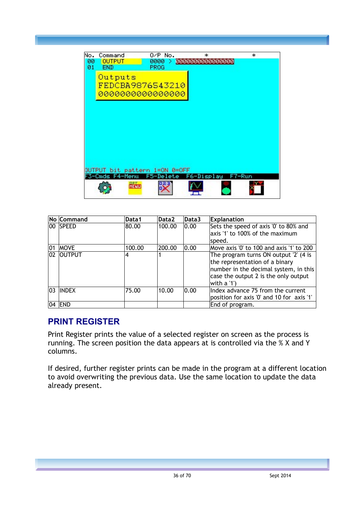

|              | No Command   | Data1  | Data2  | Data3 | <b>Explanation</b>                        |
|--------------|--------------|--------|--------|-------|-------------------------------------------|
|              | 100 ISPEED   | 80.00  | 100.00 | 0.00  | Sets the speed of axis '0' to 80% and     |
|              |              |        |        |       | axis '1' to 100% of the maximum           |
|              |              |        |        |       | speed.                                    |
| 101          | <b>MOVE</b>  | 100.00 | 200.00 | 0.00  | Move axis '0' to 100 and axis '1' to 200  |
|              | 02 OUTPUT    | 4      |        |       | The program turns ON output '2' (4 is     |
|              |              |        |        |       | the representation of a binary            |
|              |              |        |        |       | number in the decimal system, in this     |
|              |              |        |        |       | case the output 2 is the only output      |
|              |              |        |        |       | with a '1')                               |
| $ 03\rangle$ | <b>INDEX</b> | 75.00  | 10.00  | 0.00  | Index advance 75 from the current         |
|              |              |        |        |       | position for axis '0' and 10 for axis '1' |
|              | 04   END     |        |        |       | End of program.                           |

#### **PRINT REGISTER**

Print Register prints the value of a selected register on screen as the process is running. The screen position the data appears at is controlled via the % X and Y columns.

If desired, further register prints can be made in the program at a different location to avoid overwriting the previous data. Use the same location to update the data already present.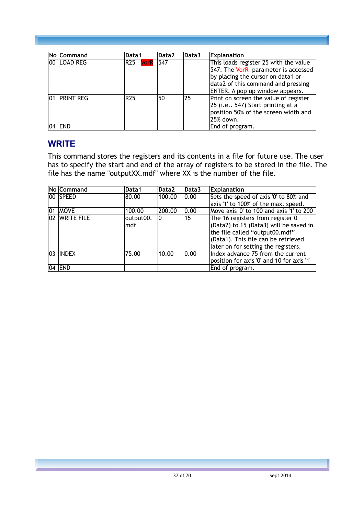| No Command   | Data1               | Data2 | Data3 | <b>Explanation</b>                                                                                                             |
|--------------|---------------------|-------|-------|--------------------------------------------------------------------------------------------------------------------------------|
| 00 ILOAD REG | <b>VorR</b><br> R25 | 547   |       | This loads register 25 with the value<br>547. The VorR parameter is accessed<br>by placing the cursor on data1 or              |
|              |                     |       |       | data2 of this command and pressing<br>ENTER. A pop up window appears.                                                          |
| 01 PRINT REG | R <sub>25</sub>     | 50    | 25    | Print on screen the value of register<br>25 (i.e 547) Start printing at a<br>position 50% of the screen width and<br>25% down. |
| <b>END</b>   |                     |       |       | End of program.                                                                                                                |

#### **WRITE**

This command stores the registers and its contents in a file for future use. The user has to specify the start and end of the array of registers to be stored in the file. The file has the name "outputXX.mdf" where XX is the number of the file.

|     | No Command    | Data1     | Data <sub>2</sub> | Data3 | <b>Explanation</b>                        |
|-----|---------------|-----------|-------------------|-------|-------------------------------------------|
|     | 100 ISPEED    | 80.00     | 100.00            | 0.00  | Sets the speed of axis '0' to 80% and     |
|     |               |           |                   |       | axis '1' to 100% of the max. speed.       |
| 101 | <b>MOVE</b>   | 100.00    | 200.00            | 0.00  | Move axis '0' to 100 and axis '1' to 200  |
|     | 02 WRITE FILE | output00. | 10                | 15    | The 16 registers from register 0          |
|     |               | mdf       |                   |       | (Data2) to 15 (Data3) will be saved in    |
|     |               |           |                   |       | the file called "output00.mdf"            |
|     |               |           |                   |       | (Data1). This file can be retrieved       |
|     |               |           |                   |       | later on for setting the registers.       |
|     | 03 INDEX      | 75.00     | 10.00             | 0.00  | Index advance 75 from the current         |
|     |               |           |                   |       | position for axis '0' and 10 for axis '1' |
|     | 04   END      |           |                   |       | End of program.                           |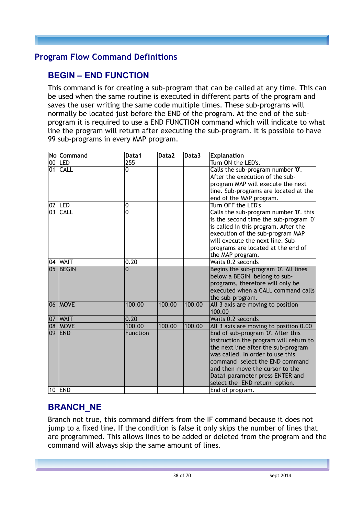#### <span id="page-37-0"></span>**Program Flow Command Definitions**

## **BEGIN – END FUNCTION**

This command is for creating a sub-program that can be called at any time. This can be used when the same routine is executed in different parts of the program and saves the user writing the same code multiple times. These sub-programs will normally be located just before the END of the program. At the end of the subprogram it is required to use a END FUNCTION command which will indicate to what line the program will return after executing the sub-program. It is possible to have 99 sub-programs in every MAP program.

| No Command     | Data1           | Data2  | Data3  | <b>Explanation</b>                                                 |
|----------------|-----------------|--------|--------|--------------------------------------------------------------------|
| 00 LED         | 255             |        |        | Turn ON the LED's.                                                 |
| 01 CALL        | 0               |        |        | Calls the sub-program number '0'.                                  |
|                |                 |        |        | After the execution of the sub-                                    |
|                |                 |        |        | program MAP will execute the next                                  |
|                |                 |        |        | line. Sub-programs are located at the                              |
|                |                 |        |        | end of the MAP program.                                            |
| 02   LED       | 0               |        |        | Turn OFF the LED's                                                 |
| 03 CALL        | $\overline{0}$  |        |        | Calls the sub-program number '0'. this                             |
|                |                 |        |        | is the second time the sub-program '0'                             |
|                |                 |        |        | is called in this program. After the                               |
|                |                 |        |        | execution of the sub-program MAP                                   |
|                |                 |        |        | will execute the next line. Sub-                                   |
|                |                 |        |        | programs are located at the end of                                 |
|                |                 |        |        | the MAP program.                                                   |
| 04 WAIT        | 0.20            |        |        | Waits 0.2 seconds                                                  |
| 05 BEGIN       | 0               |        |        | Begins the sub-program '0'. All lines                              |
|                |                 |        |        | below a BEGIN belong to sub-                                       |
|                |                 |        |        | programs, therefore will only be                                   |
|                |                 |        |        | executed when a CALL command calls                                 |
|                |                 |        |        | the sub-program.                                                   |
| 06 MOVE        | 100.00          | 100.00 | 100.00 | All 3 axis are moving to position                                  |
|                |                 |        |        | 100.00                                                             |
| 07 WAIT        | 0.20            |        |        | Waits 0.2 seconds                                                  |
| <b>08 MOVE</b> | 100.00          | 100.00 | 100.00 | All 3 axis are moving to position 0.00                             |
| 09 END         | <b>Function</b> |        |        | End of sub-program '0'. After this                                 |
|                |                 |        |        | instruction the program will return to                             |
|                |                 |        |        | the next line after the sub-program                                |
|                |                 |        |        | was called. In order to use this<br>command select the END command |
|                |                 |        |        | and then move the cursor to the                                    |
|                |                 |        |        |                                                                    |
|                |                 |        |        | Data1 parameter press ENTER and                                    |
| <b>10 END</b>  |                 |        |        | select the "END return" option.                                    |
|                |                 |        |        | End of program.                                                    |

## **BRANCH\_NE**

Branch not true, this command differs from the IF command because it does not jump to a fixed line. If the condition is false it only skips the number of lines that are programmed. This allows lines to be added or deleted from the program and the command will always skip the same amount of lines.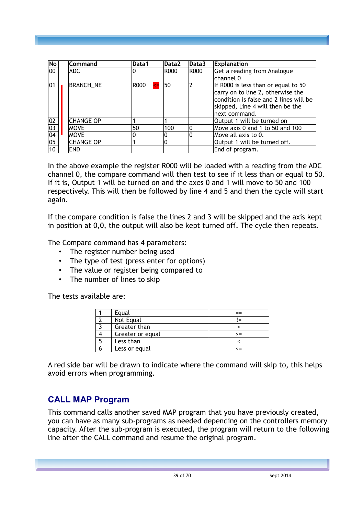| No              | Command          | Data1              | Data2 | Data3 | <b>Explanation</b>                     |
|-----------------|------------------|--------------------|-------|-------|----------------------------------------|
| 00              | ADC.             | 10                 | R000  | R000  | Get a reading from Analogue            |
|                 |                  |                    |       |       | channel 0                              |
| 01              | <b>BRANCH_NE</b> | R000<br>$\leq$ $=$ | 50    |       | If R000 is less than or equal to 50    |
|                 |                  |                    |       |       | carry on to line 2, otherwise the      |
|                 |                  |                    |       |       | condition is false and 2 lines will be |
|                 |                  |                    |       |       | skipped, Line 4 will then be the       |
|                 |                  |                    |       |       | next command.                          |
| 02              | <b>CHANGE OP</b> |                    |       |       | Output 1 will be turned on             |
| $\overline{03}$ | <b>MOVE</b>      | 50                 | 100   |       | Move axis 0 and 1 to 50 and 100        |
| 04              | <b>MOVE</b>      | 0                  | 0     |       | Move all axis to 0.                    |
| 05              | <b>CHANGE OP</b> |                    | 0     |       | Output 1 will be turned off.           |
| 10 <sup>1</sup> | <b>END</b>       |                    |       |       | End of program.                        |

In the above example the register R000 will be loaded with a reading from the ADC channel 0, the compare command will then test to see if it less than or equal to 50. If it is, Output 1 will be turned on and the axes 0 and 1 will move to 50 and 100 respectively. This will then be followed by line 4 and 5 and then the cycle will start again.

If the compare condition is false the lines 2 and 3 will be skipped and the axis kept in position at 0,0, the output will also be kept turned off. The cycle then repeats.

The Compare command has 4 parameters:

- The register number being used
- The type of test (press enter for options)
- The value or register being compared to
- The number of lines to skip

The tests available are:

| Equal            |      |
|------------------|------|
| Not Equal        |      |
| Greater than     |      |
| Greater or equal | $>=$ |
| Less than        |      |
| Less or equal    | ~-   |

A red side bar will be drawn to indicate where the command will skip to, this helps avoid errors when programming.

#### **CALL MAP Program**

This command calls another saved MAP program that you have previously created, you can have as many sub-programs as needed depending on the controllers memory capacity. After the sub-program is executed, the program will return to the following line after the CALL command and resume the original program.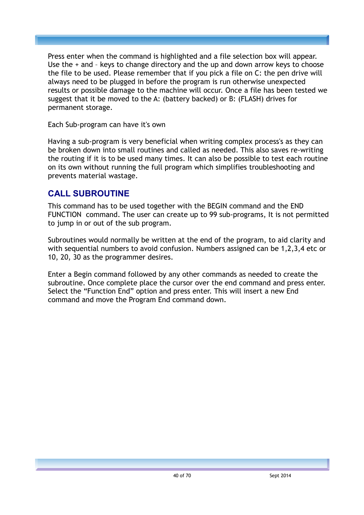Press enter when the command is highlighted and a file selection box will appear. Use the + and – keys to change directory and the up and down arrow keys to choose the file to be used. Please remember that if you pick a file on C: the pen drive will always need to be plugged in before the program is run otherwise unexpected results or possible damage to the machine will occur. Once a file has been tested we suggest that it be moved to the A: (battery backed) or B: (FLASH) drives for permanent storage.

Each Sub-program can have it's own

Having a sub-program is very beneficial when writing complex process's as they can be broken down into small routines and called as needed. This also saves re-writing the routing if it is to be used many times. It can also be possible to test each routine on its own without running the full program which simplifies troubleshooting and prevents material wastage.

## **CALL SUBROUTINE**

This command has to be used together with the BEGIN command and the END FUNCTION command. The user can create up to 99 sub-programs, It is not permitted to jump in or out of the sub program.

Subroutines would normally be written at the end of the program, to aid clarity and with sequential numbers to avoid confusion. Numbers assigned can be 1,2,3,4 etc or 10, 20, 30 as the programmer desires.

Enter a Begin command followed by any other commands as needed to create the subroutine. Once complete place the cursor over the end command and press enter. Select the "Function End" option and press enter. This will insert a new End command and move the Program End command down.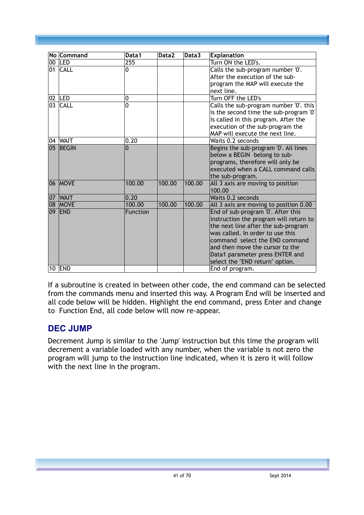|    | No Command     | Data1    | Data2  | Data3  | <b>Explanation</b>                     |
|----|----------------|----------|--------|--------|----------------------------------------|
|    | 00 LED         | 255      |        |        | Turn ON the LED's.                     |
|    | 01 CALL        | 0        |        |        | Calls the sub-program number '0'.      |
|    |                |          |        |        | After the execution of the sub-        |
|    |                |          |        |        | program the MAP will execute the       |
|    |                |          |        |        | next line.                             |
|    | 02 LED         | 0        |        |        | Turn OFF the LED's                     |
|    | 03 CALL        | 0        |        |        | Calls the sub-program number '0'. this |
|    |                |          |        |        | is the second time the sub-program '0' |
|    |                |          |        |        | is called in this program. After the   |
|    |                |          |        |        | execution of the sub-program the       |
|    |                |          |        |        | MAP will execute the next line.        |
|    | 04 WAIT        | 0.20     |        |        | Waits 0.2 seconds                      |
|    | 05 BEGIN       | $\Omega$ |        |        | Begins the sub-program '0'. All lines  |
|    |                |          |        |        | below a BEGIN belong to sub-           |
|    |                |          |        |        | programs, therefore will only be       |
|    |                |          |        |        | executed when a CALL command calls     |
|    |                |          |        |        | the sub-program.                       |
|    | 06 MOVE        | 100.00   | 100.00 | 100.00 | All 3 axis are moving to position      |
|    |                |          |        |        | 100.00                                 |
| 07 | <b>WAIT</b>    | 0.20     |        |        | Waits 0.2 seconds                      |
|    | <b>08 MOVE</b> | 100.00   | 100.00 | 100.00 | All 3 axis are moving to position 0.00 |
|    | 09 END         | Function |        |        | End of sub-program '0'. After this     |
|    |                |          |        |        | instruction the program will return to |
|    |                |          |        |        | the next line after the sub-program    |
|    |                |          |        |        | was called. In order to use this       |
|    |                |          |        |        | command select the END command         |
|    |                |          |        |        | and then move the cursor to the        |
|    |                |          |        |        | Data1 parameter press ENTER and        |
|    |                |          |        |        | select the "END return" option.        |
|    | <b>10 END</b>  |          |        |        | End of program.                        |

If a subroutine is created in between other code, the end command can be selected from the commands menu and inserted this way. A Program End will be inserted and all code below will be hidden. Highlight the end command, press Enter and change to Function End, all code below will now re-appear.

#### **DEC JUMP**

Decrement Jump is similar to the 'Jump' instruction but this time the program will decrement a variable loaded with any number, when the variable is not zero the program will jump to the instruction line indicated, when it is zero it will follow with the next line in the program.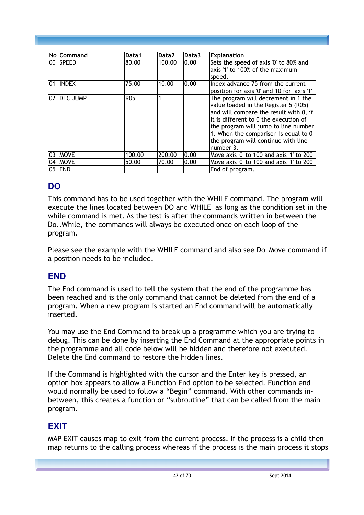|    | No Command   | Data1      | Data <sub>2</sub> | Data3 | <b>Explanation</b>                                                                                                                                                                                                                                                                                 |
|----|--------------|------------|-------------------|-------|----------------------------------------------------------------------------------------------------------------------------------------------------------------------------------------------------------------------------------------------------------------------------------------------------|
| 00 | <b>SPEED</b> | 80.00      | 100.00            | 0.00  | Sets the speed of axis '0' to 80% and<br>axis '1' to 100% of the maximum<br>speed.                                                                                                                                                                                                                 |
| 01 | <b>INDEX</b> | 75.00      | 10.00             | 0.00  | Index advance 75 from the current<br>position for axis '0' and 10 for axis '1'                                                                                                                                                                                                                     |
| 02 | DEC JUMP     | <b>R05</b> |                   |       | The program will decrement in 1 the<br>value loaded in the Register 5 (R05)<br>and will compare the result with 0, if<br>it is different to 0 the execution of<br>the program will jump to line number<br>1. When the comparison is equal to 0<br>the program will continue with line<br>number 3. |
| 03 | <b>MOVE</b>  | 100.00     | 200.00            | 0.00  | Move axis '0' to 100 and axis '1' to 200                                                                                                                                                                                                                                                           |
| 04 | <b>MOVE</b>  | 50.00      | 70.00             | 0.00  | Move axis '0' to 100 and axis '1' to 200                                                                                                                                                                                                                                                           |
| 05 | <b>END</b>   |            |                   |       | End of program.                                                                                                                                                                                                                                                                                    |

## **DO**

This command has to be used together with the WHILE command. The program will execute the lines located between DO and WHILE as long as the condition set in the while command is met. As the test is after the commands written in between the Do..While, the commands will always be executed once on each loop of the program.

Please see the example with the WHILE command and also see Do Move command if a position needs to be included.

## **END**

The End command is used to tell the system that the end of the programme has been reached and is the only command that cannot be deleted from the end of a program. When a new program is started an End command will be automatically inserted.

You may use the End Command to break up a programme which you are trying to debug. This can be done by inserting the End Command at the appropriate points in the programme and all code below will be hidden and therefore not executed. Delete the End command to restore the hidden lines.

If the Command is highlighted with the cursor and the Enter key is pressed, an option box appears to allow a Function End option to be selected. Function end would normally be used to follow a "Begin" command. With other commands inbetween, this creates a function or "subroutine" that can be called from the main program.

# **EXIT**

MAP EXIT causes map to exit from the current process. If the process is a child then map returns to the calling process whereas if the process is the main process it stops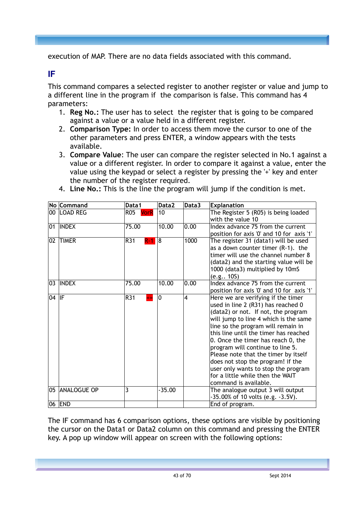execution of MAP. There are no data fields associated with this command.

#### **IF**

This command compares a selected register to another register or value and jump to a different line in the program if the comparison is false. This command has 4 parameters:

- 1. **Reg No.:** The user has to select the register that is going to be compared against a value or a value held in a different register.
- 2. **Comparison Type:** In order to access them move the cursor to one of the other parameters and press ENTER, a window appears with the tests available.
- 3. **Compare Value**: The user can compare the register selected in No.1 against a value or a different register. In order to compare it against a value, enter the value using the keypad or select a register by pressing the '+' key and enter the number of the register required.

|        | No Command     | Data1                     | Data2    | Data3 | <b>Explanation</b>                                                          |
|--------|----------------|---------------------------|----------|-------|-----------------------------------------------------------------------------|
|        | 100 ILOAD REG  | <b>R05</b><br><b>VorR</b> | 10       |       | The Register 5 (R05) is being loaded                                        |
|        |                |                           |          |       | with the value 10                                                           |
| 01     | <b>INDEX</b>   | 75.00                     | 10.00    | 0.00  | Index advance 75 from the current                                           |
|        |                |                           |          |       | position for axis '0' and 10 for axis '1'                                   |
| 02     | <b>TIMER</b>   | R31<br>R-1                | 8        | 1000  | The register 31 (data1) will be used                                        |
|        |                |                           |          |       | as a down counter timer $(R-1)$ . the                                       |
|        |                |                           |          |       | timer will use the channel number 8                                         |
|        |                |                           |          |       | (data2) and the starting value will be                                      |
|        |                |                           |          |       | 1000 (data3) multiplied by 10mS                                             |
|        |                |                           |          |       | (e.g., 10S)                                                                 |
|        | 03 INDEX       | 75.00                     | 10.00    | 0.00  | Index advance 75 from the current                                           |
|        |                |                           |          |       | position for axis '0' and 10 for axis '1'                                   |
| 104 IF |                | R31                       | 0        | 4     | Here we are verifying if the timer                                          |
|        |                |                           |          |       | used in line 2 (R31) has reached 0                                          |
|        |                |                           |          |       | (data2) or not. If not, the program                                         |
|        |                |                           |          |       | will jump to line 4 which is the same<br>line so the program will remain in |
|        |                |                           |          |       | this line until the timer has reached                                       |
|        |                |                           |          |       | 0. Once the timer has reach 0, the                                          |
|        |                |                           |          |       | program will continue to line 5.                                            |
|        |                |                           |          |       | Please note that the timer by itself                                        |
|        |                |                           |          |       | does not stop the program! if the                                           |
|        |                |                           |          |       | user only wants to stop the program                                         |
|        |                |                           |          |       | for a little while then the WAIT                                            |
|        |                |                           |          |       | command is available.                                                       |
|        | 05 ANALOGUE OP | 3                         | $-35.00$ |       | The analogue output 3 will output                                           |
|        |                |                           |          |       | $-35.00\%$ of 10 volts (e.g. $-3.5V$ ).                                     |
|        | 06 <b>END</b>  |                           |          |       | End of program.                                                             |

4. **Line No.:** This is the line the program will jump if the condition is met.

The IF command has 6 comparison options, these options are visible by positioning the cursor on the Data1 or Data2 column on this command and pressing the ENTER key. A pop up window will appear on screen with the following options: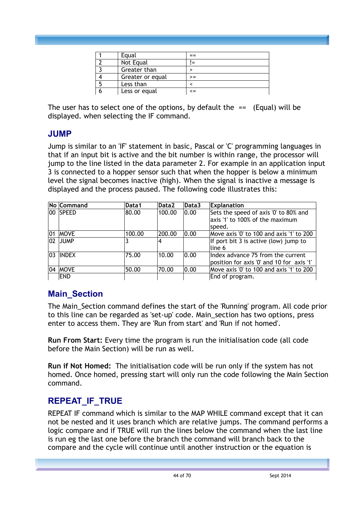| Equal            |            |
|------------------|------------|
| Not Equal        |            |
| Greater than     |            |
| Greater or equal | $>=$       |
| Less than        |            |
| Less or equal    | $\leq$ $=$ |

The user has to select one of the options, by default the  $==$  (Equal) will be displayed. when selecting the IF command.

#### **JUMP**

Jump is similar to an 'IF' statement in basic, Pascal or 'C' programming languages in that if an input bit is active and the bit number is within range, the processor will jump to the line listed in the data parameter 2. For example in an application input 3 is connected to a hopper sensor such that when the hopper is below a minimum level the signal becomes inactive (high). When the signal is inactive a message is displayed and the process paused. The following code illustrates this:

|     | No Command  | Data1  | Data <sub>2</sub> | Data3 | <b>Explanation</b>                                                                 |
|-----|-------------|--------|-------------------|-------|------------------------------------------------------------------------------------|
|     | 00 SPEED    | 80.00  | 100.00            | 0.00  | Sets the speed of axis '0' to 80% and<br>axis '1' to 100% of the maximum<br>speed. |
| 101 | <b>MOVE</b> | 100.00 | 200.00            | 0.00  | Move axis '0' to 100 and axis '1' to 200                                           |
|     | 02 JUMP     |        | 4                 |       | If port bit $3$ is active (low) jump to<br>line 6                                  |
|     | 103 IINDEX  | 75.00  | 10.00             | 0.00  | Index advance 75 from the current<br>position for axis '0' and 10 for axis '1'     |
|     | 04  MOVE    | 50.00  | 70.00             | 0.00  | Move axis '0' to 100 and axis '1' to 200                                           |
|     | <b>END</b>  |        |                   |       | End of program.                                                                    |

## **Main\_Section**

The Main\_Section command defines the start of the 'Running' program. All code prior to this line can be regarded as 'set-up' code. Main\_section has two options, press enter to access them. They are 'Run from start' and 'Run if not homed'.

**Run From Start:** Every time the program is run the initialisation code (all code before the Main Section) will be run as well.

**Run if Not Homed:** The initialisation code will be run only if the system has not homed. Once homed, pressing start will only run the code following the Main Section command.

## **REPEAT\_IF\_TRUE**

REPEAT IF command which is similar to the MAP WHILE command except that it can not be nested and it uses branch which are relative jumps. The command performs a logic compare and if TRUE will run the lines below the command when the last line is run eg the last one before the branch the command will branch back to the compare and the cycle will continue until another instruction or the equation is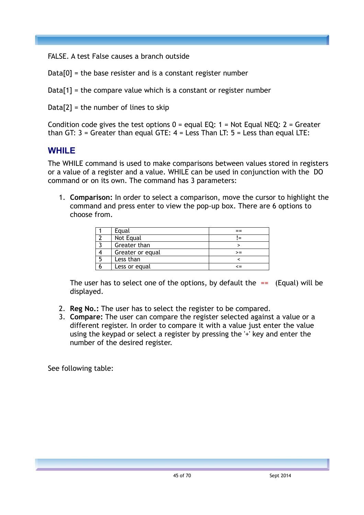FALSE. A test False causes a branch outside

 $Data[0] =$  the base resister and is a constant register number

 $Data[1] =$  the compare value which is a constant or register number

 $Data[2] =$  the number of lines to skip

Condition code gives the test options  $0 =$  equal EQ: 1 = Not Equal NEQ: 2 = Greater than GT:  $3 =$  Greater than equal GTE:  $4 =$  Less Than LT:  $5 =$  Less than equal LTE:

#### **WHILE**

The WHILE command is used to make comparisons between values stored in registers or a value of a register and a value. WHILE can be used in conjunction with the DO command or on its own. The command has 3 parameters:

1. **Comparison:** In order to select a comparison, move the cursor to highlight the command and press enter to view the pop-up box. There are 6 options to choose from.

|   | Equal            |    |
|---|------------------|----|
|   | Not Equal        |    |
|   | Greater than     |    |
|   | Greater or equal | >= |
| 5 | Less than        |    |
|   | Less or equal    |    |

The user has to select one of the options, by default the  $==$  (Equal) will be displayed.

- 2. **Reg No.:** The user has to select the register to be compared.
- 3. **Compare:** The user can compare the register selected against a value or a different register. In order to compare it with a value just enter the value using the keypad or select a register by pressing the '+' key and enter the number of the desired register.

See following table: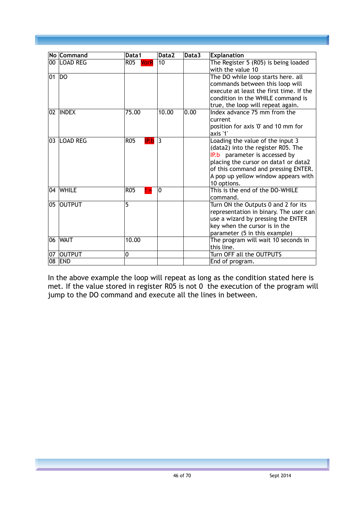|                 | No Command      | Data1                        | Data2        | Data3 | <b>Explanation</b>                                                                                                                                                                                                                           |
|-----------------|-----------------|------------------------------|--------------|-------|----------------------------------------------------------------------------------------------------------------------------------------------------------------------------------------------------------------------------------------------|
| 00 <sub>1</sub> | <b>LOAD REG</b> | R05 VorR                     | 10           |       | The Register 5 (R05) is being loaded<br>with the value 10                                                                                                                                                                                    |
| 01              | DO              |                              |              |       | The DO while loop starts here. all<br>commands between this loop will<br>execute at least the first time. If the<br>condition in the WHILE command is<br>true, the loop will repeat again.                                                   |
|                 | 02 INDEX        | 75.00                        | 10.00        | 0.00  | Index advance 75 mm from the<br>current<br>position for axis '0' and 10 mm for<br>axis '1'                                                                                                                                                   |
|                 | 03 LOAD REG     | <b>R05</b><br>IP.b           | 3            |       | Loading the value of the input 3<br>(data2) into the register R05. The<br>IP.b parameter is accessed by<br>placing the cursor on data1 or data2<br>of this command and pressing ENTER.<br>A pop up yellow window appears with<br>10 options. |
|                 | 04 WHILE        | <b>R05</b><br>$\blacksquare$ | $\mathbf{0}$ |       | This is the end of the DO-WHILE<br>command.                                                                                                                                                                                                  |
| 05              | <b>OUTPUT</b>   | 5                            |              |       | Turn ON the Outputs 0 and 2 for its<br>representation in binary. The user can<br>use a wizard by pressing the ENTER<br>key when the cursor is in the<br>parameter (5 in this example)                                                        |
| 06              | <b>WAIT</b>     | 10.00                        |              |       | The program will wait 10 seconds in<br>this line.                                                                                                                                                                                            |
| 07              | <b>OUTPUT</b>   | 0                            |              |       | Turn OFF all the OUTPUTS                                                                                                                                                                                                                     |
| 08              | <b>END</b>      |                              |              |       | End of program.                                                                                                                                                                                                                              |

In the above example the loop will repeat as long as the condition stated here is met. If the value stored in register R05 is not 0 the execution of the program will jump to the DO command and execute all the lines in between.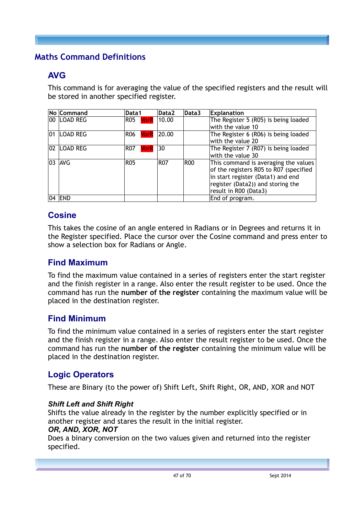## <span id="page-46-0"></span>**Maths Command Definitions**

## **AVG**

This command is for averaging the value of the specified registers and the result will be stored in another specified register.

|              | No Command      | Data1                     | Data2        | Data3 | <b>Explanation</b>                     |
|--------------|-----------------|---------------------------|--------------|-------|----------------------------------------|
|              | 00 LOAD REG     | R05                       | $VorR$ 10.00 |       | The Register 5 (R05) is being loaded   |
|              |                 |                           |              |       | with the value 10                      |
| $ 01\rangle$ | <b>LOAD REG</b> | <b>VorR</b><br><b>R06</b> | 20.00        |       | The Register 6 (R06) is being loaded   |
|              |                 |                           |              |       | with the value 20                      |
|              | 02 LOAD REG     | <b>R07</b><br><b>VorR</b> | 30           |       | The Register 7 (R07) is being loaded   |
|              |                 |                           |              |       | with the value 30                      |
|              | 03 AVG          | <b>R05</b>                | <b>R07</b>   | ROO   | This command is averaging the values   |
|              |                 |                           |              |       | of the registers R05 to R07 (specified |
|              |                 |                           |              |       | in start register (Data1) and end      |
|              |                 |                           |              |       | register (Data2)) and storing the      |
|              |                 |                           |              |       | result in R00 (Data3)                  |
|              | <b>04 END</b>   |                           |              |       | End of program.                        |

## **Cosine**

This takes the cosine of an angle entered in Radians or in Degrees and returns it in the Register specified. Place the cursor over the Cosine command and press enter to show a selection box for Radians or Angle.

#### **Find Maximum**

To find the maximum value contained in a series of registers enter the start register and the finish register in a range. Also enter the result register to be used. Once the command has run the **number of the register** containing the maximum value will be placed in the destination register.

#### **Find Minimum**

To find the minimum value contained in a series of registers enter the start register and the finish register in a range. Also enter the result register to be used. Once the command has run the **number of the register** containing the minimum value will be placed in the destination register.

#### **Logic Operators**

These are Binary (to the power of) Shift Left, Shift Right, OR, AND, XOR and NOT

#### *Shift Left and Shift Right*

Shifts the value already in the register by the number explicitly specified or in another register and stares the result in the initial register.

#### *OR, AND, XOR, NOT*

Does a binary conversion on the two values given and returned into the register specified.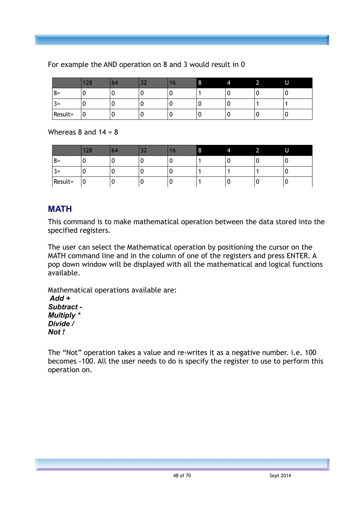|         | 128 | 64 | $\sim$ | Ю | $\circ$ | 4 | J<br>- | U |
|---------|-----|----|--------|---|---------|---|--------|---|
| $8=$    | υ   | υ  | υ      | U |         | U | υ      | υ |
| ¬<br>=ک | υ   | υ  | υ      | U |         | U |        |   |
| Result= | ັບ  | U  | υ      | 0 |         | U | υ      | U |

#### For example the AND operation on 8 and 3 would result in 0

Whereas  $8$  and  $14 = 8$ 

|                                | 128 | 64 | -- | lo | $\circ$ | 4 |   | U  |
|--------------------------------|-----|----|----|----|---------|---|---|----|
| $8=$                           | v   | ν  | L  | ν  |         |   | u |    |
| $\overline{\phantom{0}}$<br>=ک | v   | υ  | υ  | υ  |         |   |   | Δ. |
| Result=                        | 0 ا | υ  | υ  | υ  |         |   | υ | v  |

#### **MATH**

This command is to make mathematical operation between the data stored into the specified registers.

The user can select the Mathematical operation by positioning the cursor on the MATH command line and in the column of one of the registers and press ENTER. A pop down window will be displayed with all the mathematical and logical functions available.

Mathematical operations available are:  *Add + Subtract - Multiply \* Divide /*

*Not !*

The "Not" operation takes a value and re-writes it as a negative number. i.e. 100 becomes -100. All the user needs to do is specify the register to use to perform this operation on.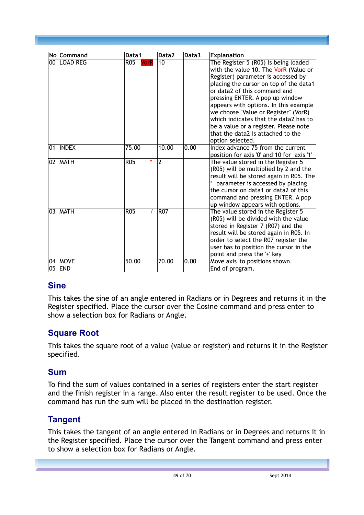|    | No Command   | Data1                     | Data2          | Data3 | <b>Explanation</b>                                                                                                                                                                                                                                                                                                                                                                                                                                           |
|----|--------------|---------------------------|----------------|-------|--------------------------------------------------------------------------------------------------------------------------------------------------------------------------------------------------------------------------------------------------------------------------------------------------------------------------------------------------------------------------------------------------------------------------------------------------------------|
|    | 00 ILOAD REG | <b>R05</b><br><b>VorR</b> | 10             |       | The Register 5 (R05) is being loaded<br>with the value 10. The VorR (Value or<br>Register) parameter is accessed by<br>placing the cursor on top of the data1<br>or data2 of this command and<br>pressing ENTER. A pop up window<br>appears with options. In this example<br>we choose "Value or Register" (VorR)<br>which indicates that the data2 has to<br>be a value or a register. Please note<br>that the data2 is attached to the<br>option selected. |
| 01 | <b>INDEX</b> | 75.00                     | 10.00          | 0.00  | Index advance 75 from the current<br>position for axis '0' and 10 for axis '1'                                                                                                                                                                                                                                                                                                                                                                               |
|    | 02 MATH      | $\star$<br><b>R05</b>     | $\overline{2}$ |       | The value stored in the Register 5<br>(R05) will be multiplied by 2 and the<br>result will be stored again in R05. The<br>parameter is accessed by placing<br>the cursor on data1 or data2 of this<br>command and pressing ENTER. A pop<br>up window appears with options.                                                                                                                                                                                   |
|    | 03 MATH      | <b>R05</b><br>$\prime$    | <b>R07</b>     |       | The value stored in the Register 5<br>(R05) will be divided with the value<br>stored in Register 7 (R07) and the<br>result will be stored again in R05. In<br>order to select the R07 register the<br>user has to position the cursor in the<br>point and press the '+' key                                                                                                                                                                                  |
|    | 04 MOVE      | 50.00                     | 70.00          | 0.00  | Move axis 'to positions shown.                                                                                                                                                                                                                                                                                                                                                                                                                               |
| 05 | <b>END</b>   |                           |                |       | End of program.                                                                                                                                                                                                                                                                                                                                                                                                                                              |

#### **Sine**

This takes the sine of an angle entered in Radians or in Degrees and returns it in the Register specified. Place the cursor over the Cosine command and press enter to show a selection box for Radians or Angle.

## **Square Root**

This takes the square root of a value (value or register) and returns it in the Register specified.

## **Sum**

To find the sum of values contained in a series of registers enter the start register and the finish register in a range. Also enter the result register to be used. Once the command has run the sum will be placed in the destination register.

## **Tangent**

This takes the tangent of an angle entered in Radians or in Degrees and returns it in the Register specified. Place the cursor over the Tangent command and press enter to show a selection box for Radians or Angle.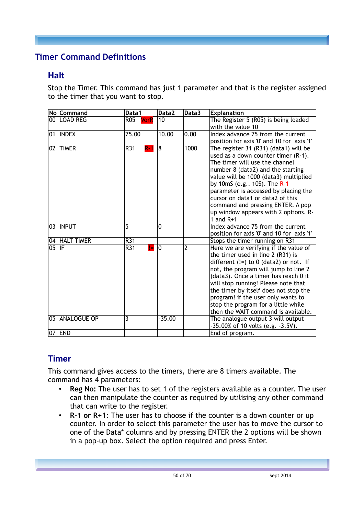## <span id="page-49-0"></span>**Timer Command Definitions**

#### **Halt**

Stop the Timer. This command has just 1 parameter and that is the register assigned to the timer that you want to stop.

|       | No Command     | Data1        | Data2    | Data3 | <b>Explanation</b>                                                                                                                                                                                                                                                                                                                                                                                         |
|-------|----------------|--------------|----------|-------|------------------------------------------------------------------------------------------------------------------------------------------------------------------------------------------------------------------------------------------------------------------------------------------------------------------------------------------------------------------------------------------------------------|
|       | 00 LOAD REG    | R05 VorR     | 10       |       | The Register 5 (R05) is being loaded<br>with the value 10                                                                                                                                                                                                                                                                                                                                                  |
| 01    | <b>INDEX</b>   | 75.00        | 10.00    | 0.00  | Index advance 75 from the current<br>position for axis '0' and 10 for axis '1'                                                                                                                                                                                                                                                                                                                             |
| 02    | <b>TIMER</b>   | R31<br>$R-1$ | 8        | 1000  | The register 31 (R31) (data1) will be<br>used as a down counter timer (R-1).<br>The timer will use the channel<br>number 8 (data2) and the starting<br>value will be 1000 (data3) multiplied<br>by 10mS (e.g., 10S). The R-1<br>parameter is accessed by placing the<br>cursor on data1 or data2 of this<br>command and pressing ENTER. A pop<br>up window appears with 2 options. R-<br>1 and $R+1$       |
|       | 03 INPUT       | 5            | 0        |       | Index advance 75 from the current<br>position for axis '0' and 10 for axis '1'                                                                                                                                                                                                                                                                                                                             |
|       | 04 HALT TIMER  | R31          |          |       | Stops the timer running on R31                                                                                                                                                                                                                                                                                                                                                                             |
| 05 IF |                | R31<br>$l =$ | 0        | 2     | Here we are verifying if the value of<br>the timer used in line 2 (R31) is<br>different $(!=)$ to 0 (data2) or not. If<br>not, the program will jump to line 2<br>(data3). Once a timer has reach 0 it<br>will stop running! Please note that<br>the timer by itself does not stop the<br>program! if the user only wants to<br>stop the program for a little while<br>then the WAIT command is available. |
|       | 05 ANALOGUE OP | 3            | $-35.00$ |       | The analogue output 3 will output<br>-35.00% of 10 volts (e.g. -3.5V).                                                                                                                                                                                                                                                                                                                                     |
|       | 07 END         |              |          |       | End of program.                                                                                                                                                                                                                                                                                                                                                                                            |

# **Timer**

This command gives access to the timers, there are 8 timers available. The command has 4 parameters:

- **Reg No:** The user has to set 1 of the registers available as a counter. The user can then manipulate the counter as required by utilising any other command that can write to the register.
- **R-1 or R+1:** The user has to choose if the counter is a down counter or up counter. In order to select this parameter the user has to move the cursor to one of the Data\* columns and by pressing ENTER the 2 options will be shown in a pop-up box. Select the option required and press Enter.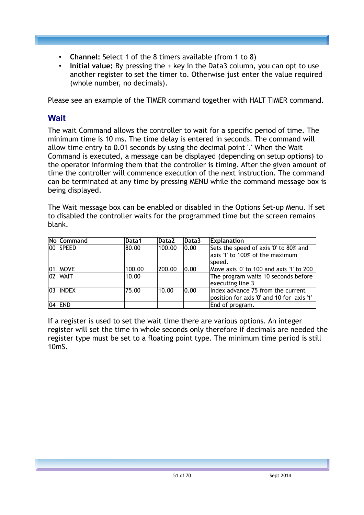- **Channel:** Select 1 of the 8 timers available (from 1 to 8)
- **Initial value:** By pressing the + key in the Data3 column, you can opt to use another register to set the timer to. Otherwise just enter the value required (whole number, no decimals).

Please see an example of the TIMER command together with HALT TIMER command.

## **Wait**

The wait Command allows the controller to wait for a specific period of time. The minimum time is 10 ms. The time delay is entered in seconds. The command will allow time entry to 0.01 seconds by using the decimal point '.' When the Wait Command is executed, a message can be displayed (depending on setup options) to the operator informing them that the controller is timing. After the given amount of time the controller will commence execution of the next instruction. The command can be terminated at any time by pressing MENU while the command message box is being displayed.

The Wait message box can be enabled or disabled in the Options Set-up Menu. If set to disabled the controller waits for the programmed time but the screen remains blank.

| No Command   | Data1  | Data2  | Data3 | <b>Explanation</b>                                                             |
|--------------|--------|--------|-------|--------------------------------------------------------------------------------|
| 100 SPEED    | 80.00  | 100.00 | 0.00  | Sets the speed of axis '0' to 80% and<br>axis '1' to 100% of the maximum       |
|              |        |        |       | speed.                                                                         |
| 01 MOVE      | 100.00 | 200.00 | 0.00  | Move axis '0' to 100 and axis '1' to 200                                       |
| $ 02 $ WAIT  | 10.00  |        |       | The program waits 10 seconds before<br>executing line 3                        |
| $ 03 $ INDEX | 75.00  | 10.00  | 0.00  | Index advance 75 from the current<br>position for axis '0' and 10 for axis '1' |
| $ 04 $ END   |        |        |       | End of program.                                                                |

If a register is used to set the wait time there are various options. An integer register will set the time in whole seconds only therefore if decimals are needed the register type must be set to a floating point type. The minimum time period is still 10mS.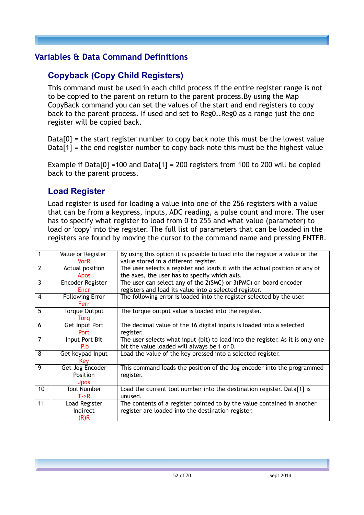#### <span id="page-51-0"></span>**Variables & Data Command Definitions**

## **Copyback (Copy Child Registers)**

This command must be used in each child process if the entire register range is not to be copied to the parent on return to the parent process.By using the Map CopyBack command you can set the values of the start and end registers to copy back to the parent process. If used and set to Reg0..Reg0 as a range just the one register will be copied back.

 $Data[0] =$  the start register number to copy back note this must be the lowest value Data[1] = the end register number to copy back note this must be the highest value

Example if Data[0] =100 and Data[1] = 200 registers from 100 to 200 will be copied back to the parent process.

#### **Load Register**

Load register is used for loading a value into one of the 256 registers with a value that can be from a keypress, inputs, ADC reading, a pulse count and more. The user has to specify what register to load from 0 to 255 and what value (parameter) to load or 'copy' into the register. The full list of parameters that can be loaded in the registers are found by moving the cursor to the command name and pressing ENTER.

| $\mathbf{1}$   | Value or Register      | By using this option it is possible to load into the register a value or the       |
|----------------|------------------------|------------------------------------------------------------------------------------|
|                | <b>VorR</b>            | value stored in a different register.                                              |
| $\overline{2}$ | Actual position        | The user selects a register and loads it with the actual position of any of        |
|                | <b>Apos</b>            | the axes, the user has to specify which axis.                                      |
| 3              | Encoder Register       | The user can select any of the 2(SMC) or 3(PMC) on board encoder                   |
|                | <b>Encr</b>            | registers and load its value into a selected register.                             |
| 4              | <b>Following Error</b> | The following error is loaded into the register selected by the user.              |
|                | Ferr                   |                                                                                    |
| 5              | <b>Torque Output</b>   | The torque output value is loaded into the register.                               |
|                | <b>Torg</b>            |                                                                                    |
| 6              | Get Input Port         | The decimal value of the 16 digital inputs is loaded into a selected               |
|                | <b>Port</b>            | register.                                                                          |
| 7              | Input Port Bit         | The user selects what input (bit) to load into the register. As it is only one     |
|                | IP.b                   | bit the value loaded will always be 1 or 0.                                        |
| 8              | Get keypad Input       | Load the value of the key pressed into a selected register.                        |
|                | Key                    |                                                                                    |
| 9              | Get Jog Encoder        | This command loads the position of the Jog encoder into the programmed             |
|                | Position               | register.                                                                          |
|                | <b>Jpos</b>            |                                                                                    |
| 10             | <b>Tool Number</b>     | Load the current tool number into the destination register. Data <sup>[1]</sup> is |
|                | T > R                  | unused.                                                                            |
| 11             | Load Register          | The contents of a register pointed to by the value contained in another            |
|                | Indirect               | register are loaded into the destination register.                                 |
|                | (R)R                   |                                                                                    |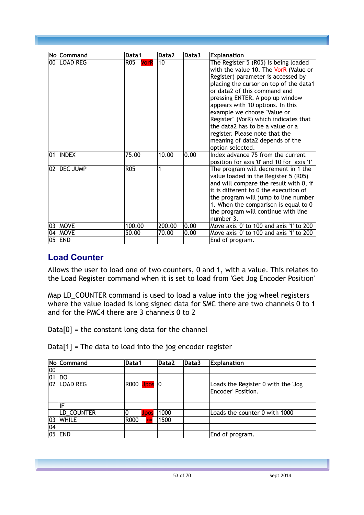|    | No Command    | Data1      | Data2  | Data3 | <b>Explanation</b>                                                                                                                                                                                                                                                                                                                                                                                                                                                        |
|----|---------------|------------|--------|-------|---------------------------------------------------------------------------------------------------------------------------------------------------------------------------------------------------------------------------------------------------------------------------------------------------------------------------------------------------------------------------------------------------------------------------------------------------------------------------|
|    | 00 ILOAD REG  | R05 VorR   | 10     |       | The Register 5 (R05) is being loaded<br>with the value 10. The VorR (Value or<br>Register) parameter is accessed by<br>placing the cursor on top of the data1<br>or data2 of this command and<br>pressing ENTER. A pop up window<br>appears with 10 options. In this<br>example we choose "Value or<br>Register" (VorR) which indicates that<br>the data2 has to be a value or a<br>register. Please note that the<br>meaning of data2 depends of the<br>option selected. |
| 01 | <b>INDEX</b>  | 75.00      | 10.00  | 0.00  | Index advance 75 from the current<br>position for axis '0' and 10 for axis '1'                                                                                                                                                                                                                                                                                                                                                                                            |
|    | 02   DEC JUMP | <b>R05</b> | 1      |       | The program will decrement in 1 the<br>value loaded in the Register 5 (R05)<br>and will compare the result with 0, if<br>it is different to 0 the execution of<br>the program will jump to line number<br>1. When the comparison is equal to 0<br>the program will continue with line<br>number 3.                                                                                                                                                                        |
| 03 | <b>MOVE</b>   | 100.00     | 200.00 | 0.00  | Move axis '0' to 100 and axis '1' to 200                                                                                                                                                                                                                                                                                                                                                                                                                                  |
| 04 | <b>MOVE</b>   | 50.00      | 70.00  | 0.00  | Move axis '0' to 100 and axis '1' to 200                                                                                                                                                                                                                                                                                                                                                                                                                                  |
| 05 | <b>END</b>    |            |        |       | End of program.                                                                                                                                                                                                                                                                                                                                                                                                                                                           |

#### **Load Counter**

Allows the user to load one of two counters, 0 and 1, with a value. This relates to the Load Register command when it is set to load from 'Get Jog Encoder Position'

Map LD\_COUNTER command is used to load a value into the jog wheel registers where the value loaded is long signed data for SMC there are two channels 0 to 1 and for the PMC4 there are 3 channels 0 to 2

 $Data[0] =$  the constant long data for the channel

Data[1] = The data to load into the jog encoder register

|    | No Command      | Data1              | Data2 | <b>Explanation</b> |                                    |
|----|-----------------|--------------------|-------|--------------------|------------------------------------|
| 00 |                 |                    |       |                    |                                    |
| 01 | DO.             |                    |       |                    |                                    |
| 02 | <b>LOAD REG</b> | R000 Upos          | 10    |                    | Loads the Register 0 with the 'Jog |
|    |                 |                    |       |                    | Encoder' Position.                 |
|    |                 |                    |       |                    |                                    |
|    | IF              |                    |       |                    |                                    |
|    | LD_COUNTER      | Jpos               | 1000  |                    | Loads the counter 0 with 1000      |
| 03 | <b>WHILE</b>    | R000<br>$\leq$ $=$ | 1500  |                    |                                    |
| 04 |                 |                    |       |                    |                                    |
| 05 | <b>END</b>      |                    |       |                    | End of program.                    |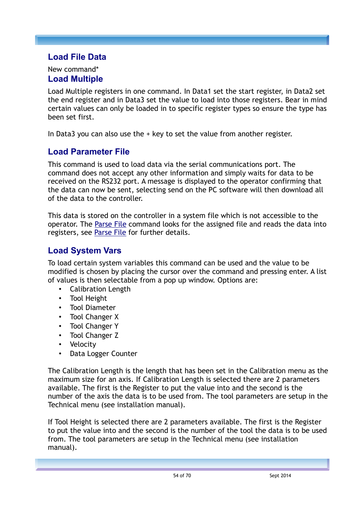#### **Load File Data**

#### New command\* **Load Multiple**

Load Multiple registers in one command. In Data1 set the start register, in Data2 set the end register and in Data3 set the value to load into those registers. Bear in mind certain values can only be loaded in to specific register types so ensure the type has been set first.

In Data3 you can also use the  $+$  key to set the value from another register.

#### <span id="page-53-0"></span>**Load Parameter File**

This command is used to load data via the serial communications port. The command does not accept any other information and simply waits for data to be received on the RS232 port. A message is displayed to the operator confirming that the data can now be sent, selecting send on the PC software will then download all of the data to the controller.

This data is stored on the controller in a system file which is not accessible to the operator. The [Parse File](#page-54-0) command looks for the assigned file and reads the data into registers, see [Parse File](#page-54-0) for further details.

#### **Load System Vars**

To load certain system variables this command can be used and the value to be modified is chosen by placing the cursor over the command and pressing enter. A list of values is then selectable from a pop up window. Options are:

- Calibration Length
- Tool Height
- Tool Diameter
- Tool Changer X
- Tool Changer Y
- Tool Changer Z
- Velocity
- Data Logger Counter

The Calibration Length is the length that has been set in the Calibration menu as the maximum size for an axis. If Calibration Length is selected there are 2 parameters available. The first is the Register to put the value into and the second is the number of the axis the data is to be used from. The tool parameters are setup in the Technical menu (see installation manual).

If Tool Height is selected there are 2 parameters available. The first is the Register to put the value into and the second is the number of the tool the data is to be used from. The tool parameters are setup in the Technical menu (see installation manual).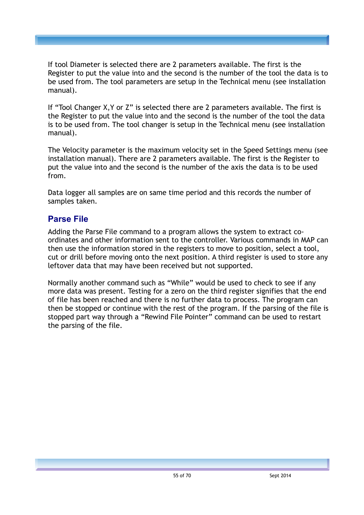If tool Diameter is selected there are 2 parameters available. The first is the Register to put the value into and the second is the number of the tool the data is to be used from. The tool parameters are setup in the Technical menu (see installation manual).

If "Tool Changer X,Y or Z" is selected there are 2 parameters available. The first is the Register to put the value into and the second is the number of the tool the data is to be used from. The tool changer is setup in the Technical menu (see installation manual).

The Velocity parameter is the maximum velocity set in the Speed Settings menu (see installation manual). There are 2 parameters available. The first is the Register to put the value into and the second is the number of the axis the data is to be used from.

Data logger all samples are on same time period and this records the number of samples taken.

#### <span id="page-54-0"></span>**Parse File**

Adding the Parse File command to a program allows the system to extract coordinates and other information sent to the controller. Various commands in MAP can then use the information stored in the registers to move to position, select a tool, cut or drill before moving onto the next position. A third register is used to store any leftover data that may have been received but not supported.

Normally another command such as "While" would be used to check to see if any more data was present. Testing for a zero on the third register signifies that the end of file has been reached and there is no further data to process. The program can then be stopped or continue with the rest of the program. If the parsing of the file is stopped part way through a "Rewind File Pointer" command can be used to restart the parsing of the file.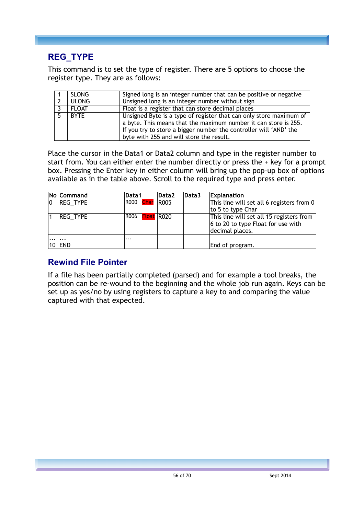## **REG\_TYPE**

This command is to set the type of register. There are 5 options to choose the register type. They are as follows:

| <b>SLONG</b> | Signed long is an integer number that can be positive or negative                                                                                                                                                                                      |
|--------------|--------------------------------------------------------------------------------------------------------------------------------------------------------------------------------------------------------------------------------------------------------|
| <b>ULONG</b> | Unsigned long is an integer number without sign                                                                                                                                                                                                        |
| <b>FLOAT</b> | Float is a register that can store decimal places                                                                                                                                                                                                      |
| <b>BYTF</b>  | Unsigned Byte is a type of register that can only store maximum of<br>a byte. This means that the maximum number it can store is 255.<br>If you try to store a bigger number the controller will 'AND' the<br>byte with 255 and will store the result. |

Place the cursor in the Data1 or Data2 column and type in the register number to start from. You can either enter the number directly or press the + key for a prompt box. Pressing the Enter key in either column will bring up the pop-up box of options available as in the table above. Scroll to the required type and press enter.

|             | No Command    | Data1                  | Data2       | Data3 | <b>Explanation</b>                        |  |  |  |  |  |  |
|-------------|---------------|------------------------|-------------|-------|-------------------------------------------|--|--|--|--|--|--|
| $ 0\rangle$ | REG_TYPE      | R000 <mark>Char</mark> | <b>R005</b> |       | This line will set all 6 registers from 0 |  |  |  |  |  |  |
|             |               |                        |             |       | to 5 to type Char                         |  |  |  |  |  |  |
|             | REG_TYPE      | R006 <b>Float</b> R020 |             |       | This line will set all 15 registers from  |  |  |  |  |  |  |
|             |               |                        |             |       | $6$ to 20 to type Float for use with      |  |  |  |  |  |  |
|             |               |                        |             |       | decimal places.                           |  |  |  |  |  |  |
| $\ddotsc$   | $\cdots$      | $\cdots$               |             |       |                                           |  |  |  |  |  |  |
|             | <b>10 END</b> |                        |             |       | End of program.                           |  |  |  |  |  |  |

#### **Rewind File Pointer**

If a file has been partially completed (parsed) and for example a tool breaks, the position can be re-wound to the beginning and the whole job run again. Keys can be set up as yes/no by using registers to capture a key to and comparing the value captured with that expected.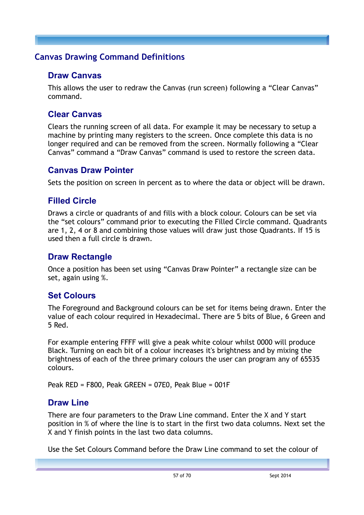#### <span id="page-56-0"></span>**Canvas Drawing Command Definitions**

#### **Draw Canvas**

This allows the user to redraw the Canvas (run screen) following a "Clear Canvas" command.

#### **Clear Canvas**

Clears the running screen of all data. For example it may be necessary to setup a machine by printing many registers to the screen. Once complete this data is no longer required and can be removed from the screen. Normally following a "Clear Canvas" command a "Draw Canvas" command is used to restore the screen data.

#### **Canvas Draw Pointer**

Sets the position on screen in percent as to where the data or object will be drawn.

## **Filled Circle**

Draws a circle or quadrants of and fills with a block colour. Colours can be set via the "set colours" command prior to executing the Filled Circle command. Quadrants are 1, 2, 4 or 8 and combining those values will draw just those Quadrants. If 15 is used then a full circle is drawn.

#### **Draw Rectangle**

Once a position has been set using "Canvas Draw Pointer" a rectangle size can be set, again using %.

## **Set Colours**

The Foreground and Background colours can be set for items being drawn. Enter the value of each colour required in Hexadecimal. There are 5 bits of Blue, 6 Green and 5 Red.

For example entering FFFF will give a peak white colour whilst 0000 will produce Black. Turning on each bit of a colour increases it's brightness and by mixing the brightness of each of the three primary colours the user can program any of 65535 colours.

Peak RED = F800, Peak GREEN = 07E0, Peak Blue = 001F

#### **Draw Line**

There are four parameters to the Draw Line command. Enter the X and Y start position in % of where the line is to start in the first two data columns. Next set the X and Y finish points in the last two data columns.

Use the Set Colours Command before the Draw Line command to set the colour of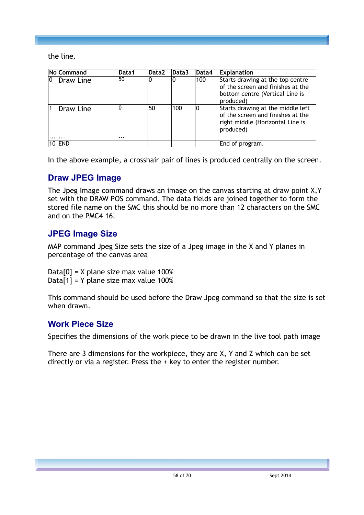the line.

|                | <b>No Command</b> | Data1    | Data <sub>2</sub> | Data3 | Data4 | <b>Explanation</b>                                                                                                      |
|----------------|-------------------|----------|-------------------|-------|-------|-------------------------------------------------------------------------------------------------------------------------|
| $\overline{0}$ | Draw Line         | 50       | 0                 | 10    | 100   | Starts drawing at the top centre<br>of the screen and finishes at the<br>bottom centre (Vertical Line is<br>produced)   |
|                | Draw Line         | 0        | 50                | 100   |       | Starts drawing at the middle left<br>of the screen and finishes at the<br>right middle (Horizontal Line is<br>produced) |
|                |                   | $\cdots$ |                   |       |       |                                                                                                                         |
|                | <b>10 END</b>     |          |                   |       |       | End of program.                                                                                                         |

In the above example, a crosshair pair of lines is produced centrally on the screen.

#### **Draw JPEG Image**

The Jpeg Image command draws an image on the canvas starting at draw point X,Y set with the DRAW POS command. The data fields are joined together to form the stored file name on the SMC this should be no more than 12 characters on the SMC and on the PMC4 16.

#### **JPEG Image Size**

MAP command Jpeg Size sets the size of a Jpeg image in the X and Y planes in percentage of the canvas area

Data[0] =  $X$  plane size max value 100% Data[1] = Y plane size max value 100%

This command should be used before the Draw Jpeg command so that the size is set when drawn.

#### **Work Piece Size**

Specifies the dimensions of the work piece to be drawn in the live tool path image

There are 3 dimensions for the workpiece, they are X, Y and Z which can be set directly or via a register. Press the + key to enter the register number.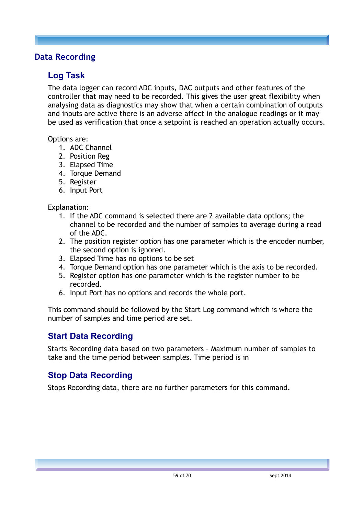#### <span id="page-58-0"></span>**Data Recording**

#### **Log Task**

The data logger can record ADC inputs, DAC outputs and other features of the controller that may need to be recorded. This gives the user great flexibility when analysing data as diagnostics may show that when a certain combination of outputs and inputs are active there is an adverse affect in the analogue readings or it may be used as verification that once a setpoint is reached an operation actually occurs.

Options are:

- 1. ADC Channel
- 2. Position Reg
- 3. Elapsed Time
- 4. Torque Demand
- 5. Register
- 6. Input Port

Explanation:

- 1. If the ADC command is selected there are 2 available data options; the channel to be recorded and the number of samples to average during a read of the ADC.
- 2. The position register option has one parameter which is the encoder number, the second option is ignored.
- 3. Elapsed Time has no options to be set
- 4. Torque Demand option has one parameter which is the axis to be recorded.
- 5. Register option has one parameter which is the register number to be recorded.
- 6. Input Port has no options and records the whole port.

This command should be followed by the Start Log command which is where the number of samples and time period are set.

#### **Start Data Recording**

Starts Recording data based on two parameters – Maximum number of samples to take and the time period between samples. Time period is in

#### **Stop Data Recording**

Stops Recording data, there are no further parameters for this command.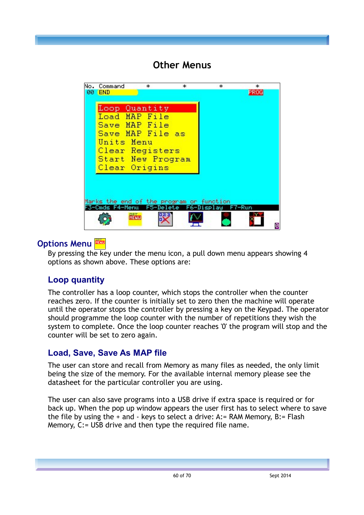# **Other Menus**



## **Options Menu**

By pressing the key under the menu icon, a pull down menu appears showing 4 options as shown above. These options are:

# **Loop quantity**

The controller has a loop counter, which stops the controller when the counter reaches zero. If the counter is initially set to zero then the machine will operate until the operator stops the controller by pressing a key on the Keypad. The operator should programme the loop counter with the number of repetitions they wish the system to complete. Once the loop counter reaches '0' the program will stop and the counter will be set to zero again.

## **Load, Save, Save As MAP file**

The user can store and recall from Memory as many files as needed, the only limit being the size of the memory. For the available internal memory please see the datasheet for the particular controller you are using.

The user can also save programs into a USB drive if extra space is required or for back up. When the pop up window appears the user first has to select where to save the file by using the  $+$  and  $-$  keys to select a drive: A: $=$  RAM Memory, B: $=$  Flash Memory, C:= USB drive and then type the required file name.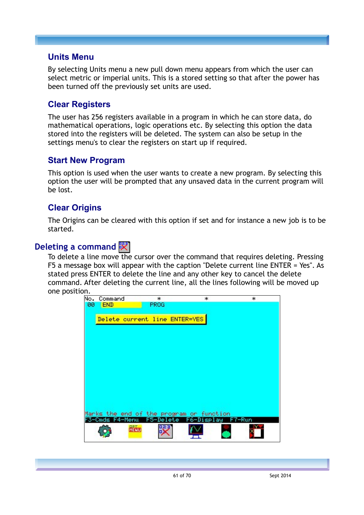#### **Units Menu**

By selecting Units menu a new pull down menu appears from which the user can select metric or imperial units. This is a stored setting so that after the power has been turned off the previously set units are used.

#### **Clear Registers**

The user has 256 registers available in a program in which he can store data, do mathematical operations, logic operations etc. By selecting this option the data stored into the registers will be deleted. The system can also be setup in the settings menu's to clear the registers on start up if required.

#### **Start New Program**

This option is used when the user wants to create a new program. By selecting this option the user will be prompted that any unsaved data in the current program will be lost.

#### **Clear Origins**

The Origins can be cleared with this option if set and for instance a new job is to be started.

#### **Deleting a command**  $\mathbb{R}$

To delete a line move the cursor over the command that requires deleting. Pressing F5 a message box will appear with the caption "Delete current line ENTER = Yes". As stated press ENTER to delete the line and any other key to cancel the delete command. After deleting the current line, all the lines following will be moved up one position.

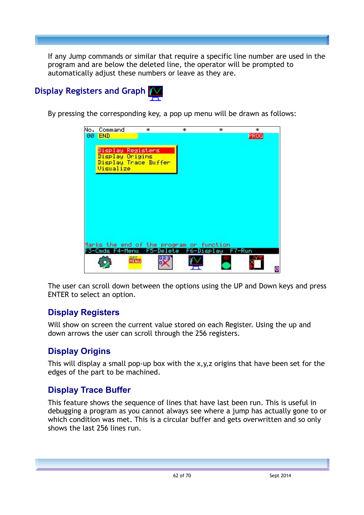If any Jump commands or similar that require a specific line number are used in the program and are below the deleted line, the operator will be prompted to automatically adjust these numbers or leave as they are.

# **Display Registers and Graph**

By pressing the corresponding key, a pop up menu will be drawn as follows:

| No. Command                              | * |           | *          | * | *      |   |
|------------------------------------------|---|-----------|------------|---|--------|---|
| 00 END                                   |   |           |            |   | PROG   |   |
|                                          |   |           |            |   |        |   |
| Display Registers                        |   |           |            |   |        |   |
| Display Origins                          |   |           |            |   |        |   |
| Display Trace Buffer                     |   |           |            |   |        |   |
| Visualize                                |   |           |            |   |        |   |
|                                          |   |           |            |   |        |   |
|                                          |   |           |            |   |        |   |
|                                          |   |           |            |   |        |   |
|                                          |   |           |            |   |        |   |
|                                          |   |           |            |   |        |   |
|                                          |   |           |            |   |        |   |
|                                          |   |           |            |   |        |   |
|                                          |   |           |            |   |        |   |
|                                          |   |           |            |   |        |   |
|                                          |   |           |            |   |        |   |
| Marks the end of the program or function |   |           |            |   |        |   |
| F3-Cmds F4-Menu                          |   | F5-Delete | F6-Display |   | F7-Run |   |
|                                          | 骶 |           |            |   |        |   |
|                                          |   |           |            |   |        |   |
|                                          |   |           |            |   |        | ø |

The user can scroll down between the options using the UP and Down keys and press ENTER to select an option.

## **Display Registers**

Will show on screen the current value stored on each Register. Using the up and down arrows the user can scroll through the 256 registers.

# **Display Origins**

This will display a small pop-up box with the x,y,z origins that have been set for the edges of the part to be machined.

## **Display Trace Buffer**

This feature shows the sequence of lines that have last been run. This is useful in debugging a program as you cannot always see where a jump has actually gone to or which condition was met. This is a circular buffer and gets overwritten and so only shows the last 256 lines run.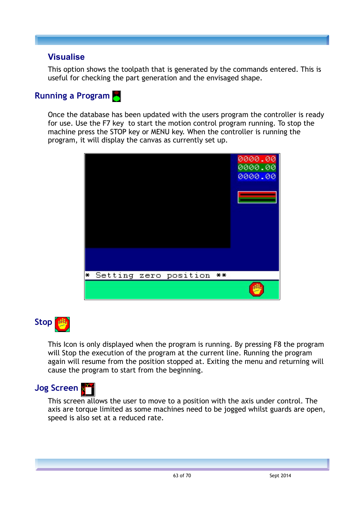#### **Visualise**

This option shows the toolpath that is generated by the commands entered. This is useful for checking the part generation and the envisaged shape.

# **Running a Program**

Once the database has been updated with the users program the controller is ready for use. Use the F7 key to start the motion control program running. To stop the machine press the STOP key or MENU key. When the controller is running the program, it will display the canvas as currently set up.





This Icon is only displayed when the program is running. By pressing F8 the program will Stop the execution of the program at the current line. Running the program again will resume from the position stopped at. Exiting the menu and returning will cause the program to start from the beginning.



This screen allows the user to move to a position with the axis under control. The axis are torque limited as some machines need to be jogged whilst guards are open, speed is also set at a reduced rate.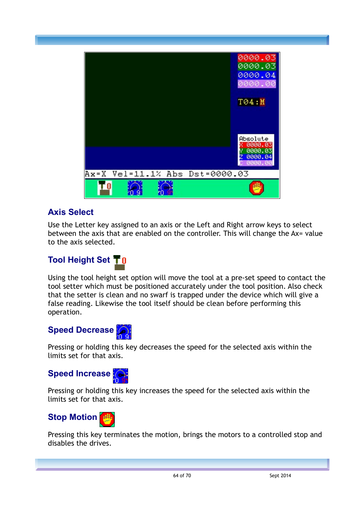

## **Axis Select**

Use the Letter key assigned to an axis or the Left and Right arrow keys to select between the axis that are enabled on the controller. This will change the Ax= value to the axis selected.

# **Tool Height Set**

Using the tool height set option will move the tool at a pre-set speed to contact the tool setter which must be positioned accurately under the tool position. Also check that the setter is clean and no swarf is trapped under the device which will give a false reading. Likewise the tool itself should be clean before performing this operation.

# **Speed Decrease**

Pressing or holding this key decreases the speed for the selected axis within the limits set for that axis.

## **Speed Increase**

Pressing or holding this key increases the speed for the selected axis within the limits set for that axis.

# **Stop Motion**

Pressing this key terminates the motion, brings the motors to a controlled stop and disables the drives.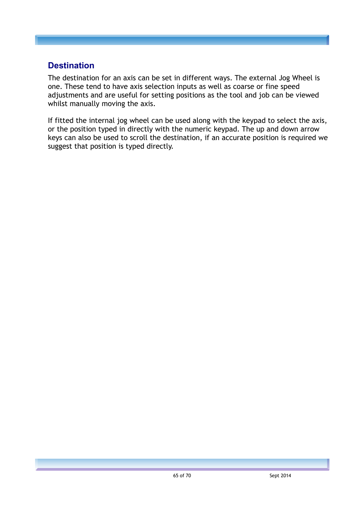#### **Destination**

The destination for an axis can be set in different ways. The external Jog Wheel is one. These tend to have axis selection inputs as well as coarse or fine speed adjustments and are useful for setting positions as the tool and job can be viewed whilst manually moving the axis.

If fitted the internal jog wheel can be used along with the keypad to select the axis, or the position typed in directly with the numeric keypad. The up and down arrow keys can also be used to scroll the destination, if an accurate position is required we suggest that position is typed directly.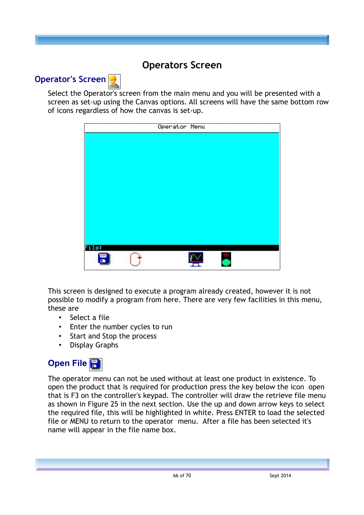# **Operators Screen**



Select the Operator's screen from the main menu and you will be presented with a screen as set-up using the Canvas options. All screens will have the same bottom row of icons regardless of how the canvas is set-up.



This screen is designed to execute a program already created, however it is not possible to modify a program from here. There are very few facilities in this menu, these are

- Select a file
- Enter the number cycles to run
- Start and Stop the process
- Display Graphs

# **Open File**

The operator menu can not be used without at least one product in existence. To open the product that is required for production press the key below the icon open that is F3 on the controller's keypad. The controller will draw the retrieve file menu as shown in Figure 25 in the next section. Use the up and down arrow keys to select the required file, this will be highlighted in white. Press ENTER to load the selected file or MENU to return to the operator menu. After a file has been selected it's name will appear in the file name box.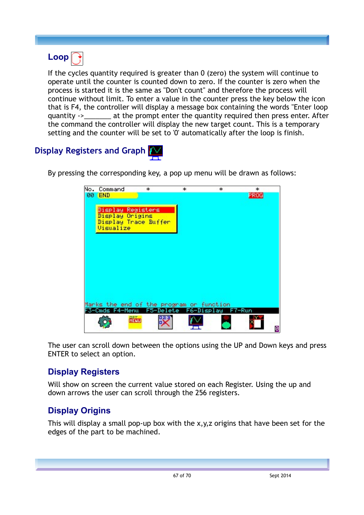# **Loop**

If the cycles quantity required is greater than 0 (zero) the system will continue to operate until the counter is counted down to zero. If the counter is zero when the process is started it is the same as "Don't count" and therefore the process will continue without limit. To enter a value in the counter press the key below the icon that is F4, the controller will display a message box containing the words "Enter loop quantity ->\_\_\_\_\_\_\_ at the prompt enter the quantity required then press enter. After the command the controller will display the new target count. This is a temporary setting and the counter will be set to '0' automatically after the loop is finish.

# **Display Registers and Graph**

By pressing the corresponding key, a pop up menu will be drawn as follows:

| No. Command                              | *           |                      | * | * | *      |   |
|------------------------------------------|-------------|----------------------|---|---|--------|---|
| 00 END                                   |             |                      |   |   | PROG   |   |
|                                          |             |                      |   |   |        |   |
| Display Registers                        |             |                      |   |   |        |   |
| Display Origins                          |             |                      |   |   |        |   |
| Display Trace Buffer                     |             |                      |   |   |        |   |
| Visualize                                |             |                      |   |   |        |   |
|                                          |             |                      |   |   |        |   |
|                                          |             |                      |   |   |        |   |
|                                          |             |                      |   |   |        |   |
|                                          |             |                      |   |   |        |   |
|                                          |             |                      |   |   |        |   |
|                                          |             |                      |   |   |        |   |
|                                          |             |                      |   |   |        |   |
|                                          |             |                      |   |   |        |   |
|                                          |             |                      |   |   |        |   |
|                                          |             |                      |   |   |        |   |
| Marks the end of the program or function |             |                      |   |   |        |   |
| F3-Cmds F4-Menu                          |             | F5-Delete F6-Display |   |   | F7-Run |   |
|                                          | <b>Refu</b> |                      |   |   |        |   |
|                                          |             |                      |   |   |        |   |
|                                          |             |                      |   |   |        | ø |

The user can scroll down between the options using the UP and Down keys and press ENTER to select an option.

## **Display Registers**

Will show on screen the current value stored on each Register. Using the up and down arrows the user can scroll through the 256 registers.

# **Display Origins**

This will display a small pop-up box with the x,y,z origins that have been set for the edges of the part to be machined.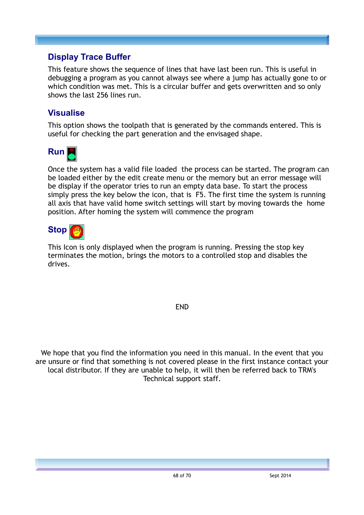#### **Display Trace Buffer**

This feature shows the sequence of lines that have last been run. This is useful in debugging a program as you cannot always see where a jump has actually gone to or which condition was met. This is a circular buffer and gets overwritten and so only shows the last 256 lines run.

#### **Visualise**

This option shows the toolpath that is generated by the commands entered. This is useful for checking the part generation and the envisaged shape.



Once the system has a valid file loaded the process can be started. The program can be loaded either by the edit create menu or the memory but an error message will be display if the operator tries to run an empty data base. To start the process simply press the key below the icon, that is F5. The first time the system is running all axis that have valid home switch settings will start by moving towards the home position. After homing the system will commence the program



This Icon is only displayed when the program is running. Pressing the stop key terminates the motion, brings the motors to a controlled stop and disables the drives.

END

We hope that you find the information you need in this manual. In the event that you are unsure or find that something is not covered please in the first instance contact your local distributor. If they are unable to help, it will then be referred back to TRM's Technical support staff.